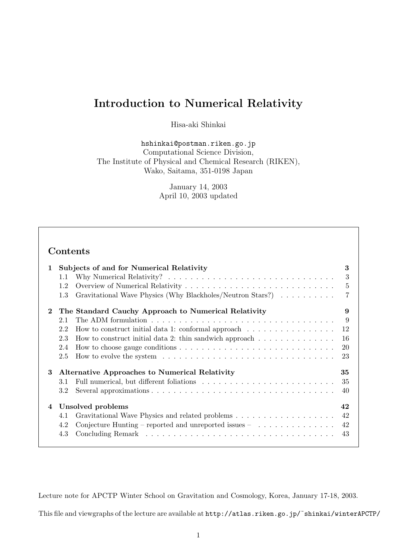# **Introduction to Numerical Relativity**

Hisa-aki Shinkai

hshinkai@postman.riken.go.jp Computational Science Division, The Institute of Physical and Chemical Research (RIKEN), Wako, Saitama, 351-0198 Japan

> January 14, 2003 April 10, 2003 updated

# **Contents**

| 1        | 1.1<br>1.2<br>1.3               | <b>Subjects of and for Numerical Relativity</b><br>Why Numerical Relativity? $\ldots \ldots \ldots \ldots \ldots \ldots \ldots \ldots \ldots \ldots \ldots$<br>Gravitational Wave Physics (Why Blackholes/Neutron Stars?)                                                                                                                    | 3<br>3<br>5                    |
|----------|---------------------------------|----------------------------------------------------------------------------------------------------------------------------------------------------------------------------------------------------------------------------------------------------------------------------------------------------------------------------------------------|--------------------------------|
| $\bf{2}$ | 2.1<br>2.2<br>2.3<br>2.4<br>2.5 | The Standard Cauchy Approach to Numerical Relativity<br>How to construct initial data 1: conformal approach $\dots \dots \dots \dots \dots$<br>How to construct initial data 2: thin sandwich approach $\dots \dots \dots \dots \dots$<br>How to evolve the system $\dots \dots \dots \dots \dots \dots \dots \dots \dots \dots \dots \dots$ | 9<br>9<br>12<br>16<br>20<br>23 |
| 3        | 3.1<br>3.2                      | Alternative Approaches to Numerical Relativity                                                                                                                                                                                                                                                                                               | 35<br>35<br>40                 |
| 4        |                                 | Unsolved problems                                                                                                                                                                                                                                                                                                                            | 42                             |
|          | 4.1                             |                                                                                                                                                                                                                                                                                                                                              | 42                             |
|          | 4.2                             | Conjecture Hunting – reported and unreported issues – $\dots \dots \dots \dots$                                                                                                                                                                                                                                                              | 42                             |
|          | 4.3                             |                                                                                                                                                                                                                                                                                                                                              | 43                             |

Lecture note for APCTP Winter School on Gravitation and Cosmology, Korea, January 17-18, 2003.

This file and viewgraphs of the lecture are available at http://atlas.riken.go.jp/˜shinkai/winterAPCTP/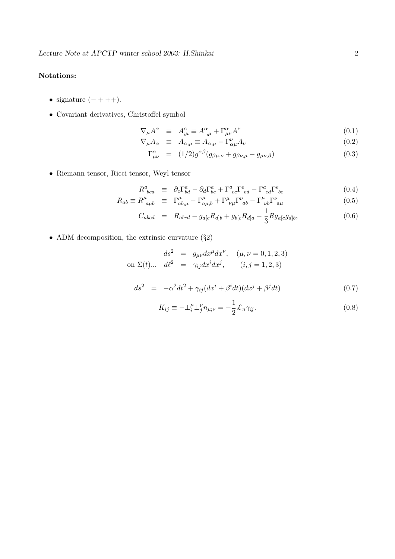## **Notations:**

- signature  $(- + + +)$ .
- $\bullet\,$  Covariant derivatives, Christoffel symbol

$$
\nabla_{\mu}A^{\alpha} \equiv A^{\alpha}_{;\mu} \equiv A^{\alpha}_{,\mu} + \Gamma^{\alpha}_{\mu\nu}A^{\nu} \tag{0.1}
$$

$$
\nabla_{\mu} A_{\alpha} \equiv A_{\alpha;\mu} \equiv A_{\alpha,\mu} - \Gamma^{\nu}_{\alpha\mu} A_{\nu}
$$
\n(0.2)

$$
\Gamma^{\alpha}_{\mu\nu} = (1/2)g^{\alpha\beta}(g_{\beta\mu,\nu} + g_{\beta\nu,\mu} - g_{\mu\nu,\beta})
$$
\n(0.3)

• Riemann tensor, Ricci tensor, Weyl tensor

$$
R^{a}_{\phantom{a}bcd} \equiv \partial_c \Gamma^{a}_{bd} - \partial_d \Gamma^{a}_{bc} + \Gamma^{a}_{\phantom{a}ec} \Gamma^{e}_{\phantom{e}bd} - \Gamma^{a}_{\phantom{a}ed} \Gamma^{e}_{\phantom{e}bc} \tag{0.4}
$$

$$
R_{ab} \equiv R^{\mu}_{\ a\mu b} \equiv \Gamma^{\mu}_{ab,\mu} - \Gamma^{\mu}_{a\mu,b} + \Gamma^{\mu}_{\ \nu\mu} \Gamma^{\nu}_{\ ab} - \Gamma^{\mu}_{\ \nu b} \Gamma^{\nu}_{\ a\mu} \tag{0.5}
$$

$$
C_{abcd} = R_{abcd} - g_{a[c}R_{d]b} + g_{b[c}R_{d]a} - \frac{1}{3}Rg_{a[c}g_{d]b},
$$
\n(0.6)

• ADM decomposition, the extrinsic curvature  $(\S2)$ 

$$
ds^{2} = g_{\mu\nu}dx^{\mu}dx^{\nu}, \quad (\mu, \nu = 0, 1, 2, 3)
$$
  
on  $\Sigma(t)$ ...  $d\ell^{2} = \gamma_{ij}dx^{i}dx^{j}$ ,  $(i, j = 1, 2, 3)$ 

$$
ds^2 = -\alpha^2 dt^2 + \gamma_{ij} (dx^i + \beta^i dt)(dx^j + \beta^j dt)
$$
\n(0.7)

$$
K_{ij} \equiv -\perp_i^{\mu} \perp_j^{\nu} n_{\mu;\nu} = -\frac{1}{2} \pounds_n \gamma_{ij}.
$$
 (0.8)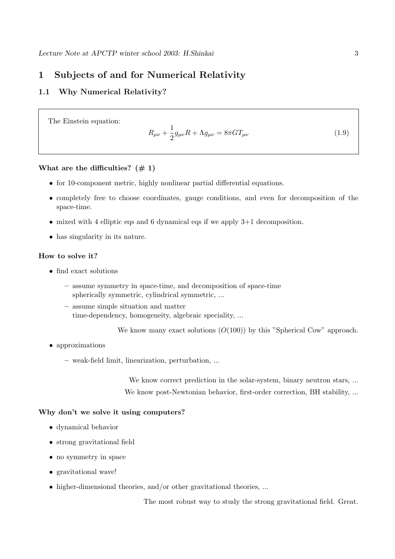## **1 Subjects of and for Numerical Relativity**

## **1.1 Why Numerical Relativity?**

The Einstein equation:

$$
R_{\mu\nu} + \frac{1}{2}g_{\mu\nu}R + \Lambda g_{\mu\nu} = 8\pi G T_{\mu\nu}
$$
\n(1.9)

#### What are the difficulties?  $(\# 1)$

- for 10-component metric, highly nonlinear partial differential equations.
- completely free to choose coordinates, gauge conditions, and even for decomposition of the space-time.
- mixed with 4 elliptic eqs and 6 dynamical eqs if we apply 3+1 decomposition.
- has singularity in its nature.

## **How to solve it?**

- find exact solutions
	- **–** assume symmetry in space-time, and decomposition of space-time spherically symmetric, cylindrical symmetric, ...
	- **–** assume simple situation and matter time-dependency, homogeneity, algebraic speciality, ...

We know many exact solutions  $(O(100))$  by this "Spherical Cow" approach.

- approximations
	- **–** weak-field limit, linearization, perturbation, ...

We know correct prediction in the solar-system, binary neutron stars, ... We know post-Newtonian behavior, first-order correction, BH stability, ...

## **Why don't we solve it using computers?**

- dynamical behavior
- strong gravitational field
- no symmetry in space
- gravitational wave!
- higher-dimensional theories, and/or other gravitational theories, ...

The most robust way to study the strong gravitational field. Great.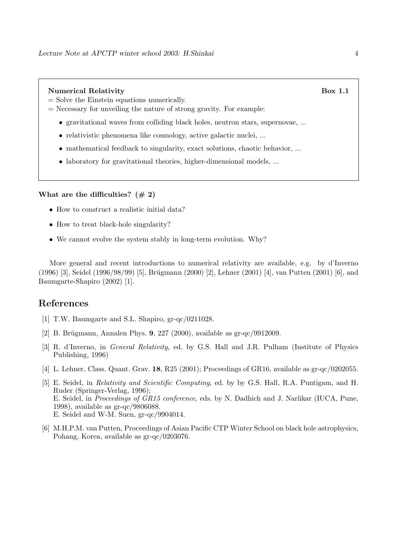#### **Numerical Relativity** Box 1.1

- = Solve the Einstein equations numerically.
- $=$  Necessary for unveiling the nature of strong gravity. For example:
	- gravitational waves from colliding black holes, neutron stars, supernovae, ...
	- relativistic phenomena like cosmology, active galactic nuclei, ...
	- mathematical feedback to singularity, exact solutions, chaotic behavior, ...
	- laboratory for gravitational theories, higher-dimensional models, ...

#### **What are the difficulties? (# 2)**

- How to construct a realistic initial data?
- How to treat black-hole singularity?
- We cannot evolve the system stably in long-term evolution. Why?

More general and recent introductions to numerical relativity are available, e.g. by d'Inverno  $(1996)$  [3], Seidel  $(1996/98/99)$  [5], Brügmann  $(2000)$  [2], Lehner  $(2001)$  [4], van Putten  $(2001)$  [6], and Baumgarte-Shapiro (2002) [1].

## **References**

- [1] T.W. Baumgarte and S.L. Shapiro, gr-qc/0211028.
- [2] B. Brügmann, Annalen Phys. **9**, 227 (2000), available as gr-qc/9912009.
- [3] R. d'Inverno, in General Relativity, ed. by G.S. Hall and J.R. Pulham (Institute of Physics Publishing, 1996)
- [4] L. Lehner, Class. Quant. Grav. **18**, R25 (2001); Proceedings of GR16, available as gr-qc/0202055.
- [5] E. Seidel, in Relativity and Scientific Computing, ed. by by G.S. Hall, R.A. Puntigam, and H. Ruder (Springer-Verlag, 1996); E. Seidel, in Proceedings of GR15 conference, eds. by N. Dadhich and J. Narlikar (IUCA, Pune, 1998), available as gr-qc/9806088. E. Seidel and W-M. Suen, gr-qc/9904014.
- [6] M.H.P.M. van Putten, Proceedings of Asian Pacific CTP Winter School on black hole astrophysics, Pohang, Korea, available as gr-qc/0203076.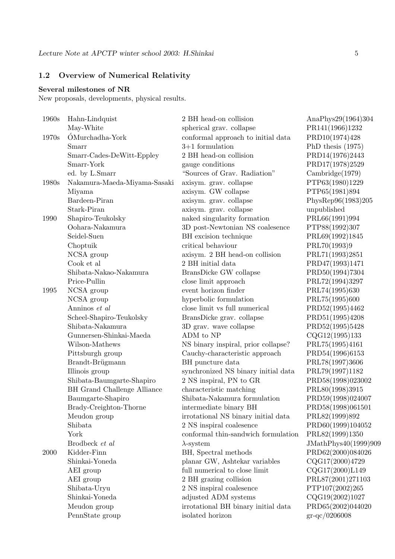## **1.2 Overview of Numerical Relativity**

## **Several milestones of NR**

New proposals, developments, physical results.

| 1960s | Hahn-Lindquist               | 2 BH head-on collision              | AnaPhys29(1964)304   |
|-------|------------------------------|-------------------------------------|----------------------|
|       | May-White                    | spherical grav. collapse            | PR141(1966)1232      |
| 1970s | ÓMurchadha-York              | conformal approach to initial data  | PRD10(1974)428       |
|       | Smarr                        | $3+1$ formulation                   | PhD thesis $(1975)$  |
|       | Smarr-Cades-DeWitt-Eppley    | 2 BH head-on collision              | PRD14(1976)2443      |
|       | Smarr-York                   | gauge conditions                    | PRD17(1978)2529      |
|       | ed. by L.Smarr               | "Sources of Grav. Radiation"        | Cambridge(1979)      |
| 1980s | Nakamura-Maeda-Miyama-Sasaki | axisym. grav. collapse              | PTP63(1980)1229      |
|       | Miyama                       | axisym. GW collapse                 | PTP65(1981)894       |
|       | Bardeen-Piran                | axisym. grav. collapse              | PhysRep96(1983)205   |
|       | Stark-Piran                  | axisym. grav. collapse              | unpublished          |
| 1990  | Shapiro-Teukolsky            | naked singularity formation         | PRL66(1991)994       |
|       | Oohara-Nakamura              | 3D post-Newtonian NS coalesence     | PTP88(1992)307       |
|       | Seidel-Suen                  | BH excision technique               | PRL69(1992)1845      |
|       | Choptuik                     | critical behaviour                  | PRL70(1993)9         |
|       | NCSA group                   | axisym. 2 BH head-on collision      | PRL71(1993)2851      |
|       | Cook et al                   | 2 BH initial data                   | PRD47(1993)1471      |
|       | Shibata-Nakao-Nakamura       | BransDicke GW collapse              | PRD50(1994)7304      |
|       | Price-Pullin                 | close limit approach                | PRL72(1994)3297      |
| 1995  | NCSA group                   | event horizon finder                | PRL74(1995)630       |
|       | NCSA group                   | hyperbolic formulation              | PRL75(1995)600       |
|       | Anninos et al                | close limit vs full numerical       | PRD52(1995)4462      |
|       | Scheel-Shapiro-Teukolsky     | BransDicke grav. collapse           | PRD51(1995)4208      |
|       | Shibata-Nakamura             | 3D grav. wave collapse              | PRD52(1995)5428      |
|       | Gunnersen-Shinkai-Maeda      | ADM to NP                           | CQG12(1995)133       |
|       | Wilson-Mathews               | NS binary inspiral, prior collapse? | PRL75(1995)4161      |
|       | Pittsburgh group             | Cauchy-characteristic approach      | PRD54(1996)6153      |
|       | Brandt-Brügmann              | BH puncture data                    | PRL78(1997)3606      |
|       | Illinois group               | synchronized NS binary initial data | PRL79(1997)1182      |
|       | Shibata-Baumgarte-Shapiro    | 2 NS inspiral, PN to GR             | PRD58(1998)023002    |
|       | BH Grand Challenge Alliance  | characteristic matching             | PRL80(1998)3915      |
|       | Baumgarte-Shapiro            | Shibata-Nakamura formulation        | PRD59(1998)024007    |
|       | Brady-Creighton-Thorne       | intermediate binary BH              | PRD58(1998)061501    |
|       | Meudon group                 | irrotational NS binary initial data | PRL82(1999)892       |
|       | Shibata                      | 2 NS inspiral coalesence            | PRD60(1999)104052    |
|       | York                         | conformal thin-sandwich formulation | PRL82(1999)1350      |
|       | Brodbeck et al               | $\lambda$ -system                   | JMathPhys40(1999)909 |
| 2000  | Kidder-Finn                  | BH, Spectral methods                | PRD62(2000)084026    |
|       | Shinkai-Yoneda               | planar GW, Ashtekar variables       | CQG17(2000)4729      |
|       | AEI group                    | full numerical to close limit       | CQG17(2000)L149      |
|       | AEI group                    | 2 BH grazing collision              | PRL87(2001)271103    |
|       | Shibata-Uryu                 | 2 NS inspiral coalesence            | PTP107(2002)265      |
|       | Shinkai-Yoneda               | adjusted ADM systems                | CQG19(2002)1027      |
|       | Meudon group                 | irrotational BH binary initial data | PRD65(2002)044020    |
|       | PennState group              | isolated horizon                    | $gr-qc/0206008$      |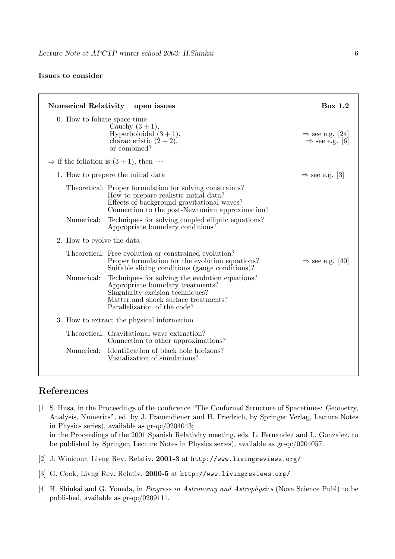## **Issues to consider**

|                              | Box 1.2<br>Numerical Relativity $-$ open issues                                                                                                                                                     |                                                           |  |  |  |
|------------------------------|-----------------------------------------------------------------------------------------------------------------------------------------------------------------------------------------------------|-----------------------------------------------------------|--|--|--|
| 0. How to foliate space-time | Cauchy $(3+1)$ ,<br>Hyperboloidal $(3 + 1)$ ,<br>characteristic $(2+2)$ ,<br>or combined?                                                                                                           | $\Rightarrow$ see e.g. [24]<br>$\Rightarrow$ see e.g. [6] |  |  |  |
|                              | $\Rightarrow$ if the foliation is $(3+1)$ , then $\cdots$                                                                                                                                           |                                                           |  |  |  |
|                              | 1. How to prepare the initial data                                                                                                                                                                  | $\Rightarrow$ see e.g. [3]                                |  |  |  |
|                              | Theoretical: Proper formulation for solving constraints?<br>How to prepare realistic initial data?<br>Effects of background gravitational waves?<br>Connection to the post-Newtonian approximation? |                                                           |  |  |  |
| Numerical:                   | Techniques for solving coupled elliptic equations?<br>Appropriate boundary conditions?                                                                                                              |                                                           |  |  |  |
| 2. How to evolve the data    |                                                                                                                                                                                                     |                                                           |  |  |  |
|                              | Theoretical: Free evolution or constrained evolution?<br>Proper formulation for the evolution equations?<br>Suitable slicing conditions (gauge conditions)?                                         | $\Rightarrow$ see e.g. [40]                               |  |  |  |
| Numerical:                   | Techniques for solving the evolution equations?<br>Appropriate boundary treatments?<br>Singularity excision techniques?<br>Matter and shock surface treatments?<br>Parallelization of the code?     |                                                           |  |  |  |
|                              | 3. How to extract the physical information                                                                                                                                                          |                                                           |  |  |  |
|                              | Theoretical: Gravitational wave extraction?<br>Connection to other approximations?                                                                                                                  |                                                           |  |  |  |
| Numerical:                   | Identification of black hole horizons?<br>Visualization of simulations?                                                                                                                             |                                                           |  |  |  |

# **References**

- [1] S. Husa, in the Proceedings of the conference "The Conformal Structure of Spacetimes: Geometry, Analysis, Numerics", ed. by J. Frauendiener and H. Friedrich, by Springer Verlag, Lecture Notes in Physics series), available as gr-qc/0204043; in the Proceedings of the 2001 Spanish Relativity meeting, eds. L. Fernandez and L. Gonzalez, to be published by Springer, Lecture Notes in Physics series), available as gr-qc/0204057.
- [2] J. Winicour, Livng Rev. Relativ. **2001-3** at http://www.livingreviews.org/
- [3] G. Cook, Livng Rev. Relativ. **2000-5** at http://www.livingreviews.org/
- [4] H. Shinkai and G. Yoneda, in *Progress in Astronomy and Astrophysics* (Nova Science Publ) to be published, available as gr-qc/0209111.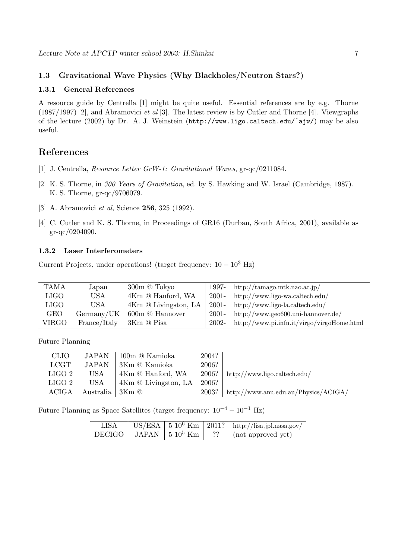## **1.3 Gravitational Wave Physics (Why Blackholes/Neutron Stars?)**

#### **1.3.1 General References**

A resource guide by Centrella [1] might be quite useful. Essential references are by e.g. Thorne (1987/1997) [2], and Abramovici et al [3]. The latest review is by Cutler and Thorne [4]. Viewgraphs of the lecture (2002) by Dr. A. J. Weinstein (http://www.ligo.caltech.edu/˜ajw/) may be also useful.

## **References**

- [1] J. Centrella, Resource Letter GrW-1: Gravitational Waves, gr-qc/0211084.
- [2] K. S. Thorne, in 300 Years of Gravitation, ed. by S. Hawking and W. Israel (Cambridge, 1987). K. S. Thorne, gr-qc/9706079.
- [3] A. Abramovici et al, Science **256**, 325 (1992).
- [4] C. Cutler and K. S. Thorne, in Proceedings of GR16 (Durban, South Africa, 2001), available as gr-qc/0204090.

## **1.3.2 Laser Interferometers**

Current Projects, under operations! (target frequency:  $10 - 10^3$  Hz)

| <b>TAMA</b> | Japan        | $300m$ @ Tokyo       | 1997- $\vert$ | $\int$ http://tamago.mtk.nao.ac.jp/             |
|-------------|--------------|----------------------|---------------|-------------------------------------------------|
| <b>LIGO</b> | <b>USA</b>   | 4Km @ Hanford, WA    |               | $2001 - \text{http://www.ligo-wa.caltech.edu/}$ |
| <b>LIGO</b> | <b>USA</b>   | 4Km @ Livingston, LA | $2001 -$      | http://www.ligo-la.caltech.edu/                 |
| <b>GEO</b>  | Germany/UK   | 600m @ Hannover      | $2001 -$      | $\int$ http://www.geo600.uni-hannover.de/       |
| VIRGO       | France/Italy | 3Km @ Pisa           | 2002-         | http://www.pi.infn.it/virgo/virgoHome.html      |

Future Planning

| <b>CLIO</b>  | JAPAN        | 100m @ Kamioka       | 2004? |                                      |
|--------------|--------------|----------------------|-------|--------------------------------------|
| <b>LCGT</b>  | <b>JAPAN</b> | 3Km @ Kamioka        | 2006? |                                      |
| LIGO 2       | USA          | 4Km @ Hanford, WA    | 2006? | http://www.ligo.caltech.edu/         |
| LIGO 2       | USA          | 4Km @ Livingston, LA | 2006? |                                      |
| <b>ACIGA</b> | Australia    | -3Km @               | 2003? | http://www.anu.edu.au/Physics/ACIGA/ |

Future Planning as Space Satellites (target frequency:  $10^{-4} - 10^{-1}$  Hz)

| <b>LISA</b> |  | $\sqrt{\text{US/ESA}}$ 5 10 <sup>6</sup> Km   2011?   http://lisa.jpl.nasa.gov/ |
|-------------|--|---------------------------------------------------------------------------------|
|             |  | DECIGO    JAPAN   5 10 <sup>5</sup> Km   ??   (not approved yet)                |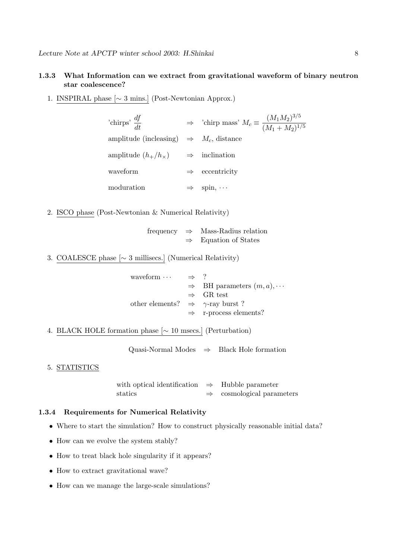## **1.3.3 What Information can we extract from gravitational waveform of binary neutron star coalescence?**

1. INSPIRAL phase [∼ 3 mins.] (Post-Newtonian Approx.)

| 'chirps' $\frac{df}{dt}$                                 | ⇒ 'chirp mass' $M_c \equiv \frac{(M_1 M_2)^{3/5}}{(M_1 + M_2)^{1/5}}$ |
|----------------------------------------------------------|-----------------------------------------------------------------------|
| amplitude (incleasing) $\Rightarrow M_c$ , distance      |                                                                       |
| amplitude $(h_+/h_{\times}) \longrightarrow$ inclination |                                                                       |
| waveform                                                 | $\Rightarrow$ eccentricity                                            |
| moduration                                               | spin, $\cdots$                                                        |

2. ISCO phase (Post-Newtonian & Numerical Relativity)

frequency ⇒ Mass-Radius relation  $\Rightarrow$  Equation of States

3. COALESCE phase [∼ 3 millisecs.] (Numerical Relativity)

| waveform $\cdots$                                | $\Rightarrow$ ? |                                              |
|--------------------------------------------------|-----------------|----------------------------------------------|
|                                                  |                 | $\Rightarrow$ BH parameters $(m, a), \cdots$ |
|                                                  |                 | $\Rightarrow$ GR test                        |
| other elements? $\Rightarrow \gamma$ -ray burst? |                 |                                              |
|                                                  |                 | $\Rightarrow$ r-process elements?            |

4. BLACK HOLE formation phase [∼ 10 msecs.] (Perturbation)

Quasi-Normal Modes  $\Rightarrow$  Black Hole formation

## 5. STATISTICS

with optical identification ⇒ Hubble parameter statics ⇒ cosmological parameters

## **1.3.4 Requirements for Numerical Relativity**

- Where to start the simulation? How to construct physically reasonable initial data?
- How can we evolve the system stably?
- How to treat black hole singularity if it appears?
- How to extract gravitational wave?
- How can we manage the large-scale simulations?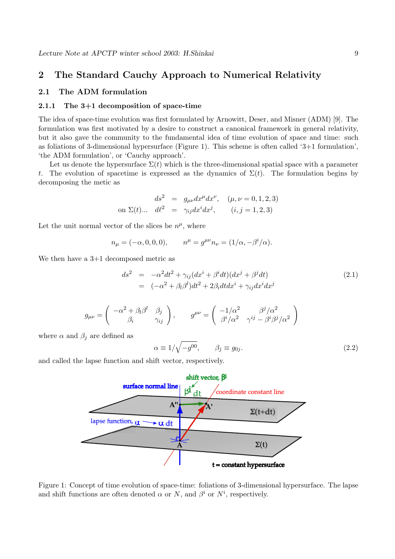## **2 The Standard Cauchy Approach to Numerical Relativity**

## **2.1 The ADM formulation**

#### **2.1.1 The 3+1 decomposition of space-time**

The idea of space-time evolution was first formulated by Arnowitt, Deser, and Misner (ADM) [9]. The formulation was first motivated by a desire to construct a canonical framework in general relativity, but it also gave the community to the fundamental idea of time evolution of space and time: such as foliations of 3-dimensional hypersurface (Figure 1). This scheme is often called '3+1 formulation', 'the ADM formulation', or 'Cauchy approach'.

Let us denote the hypersurface  $\Sigma(t)$  which is the three-dimensional spatial space with a parameter t. The evolution of spacetime is expressed as the dynamics of  $\Sigma(t)$ . The formulation begins by decomposing the metic as

$$
ds^{2} = g_{\mu\nu}dx^{\mu}dx^{\nu}, \quad (\mu, \nu = 0, 1, 2, 3)
$$
  
on  $\Sigma(t)$ ...  $d\ell^{2} = \gamma_{ij}dx^{i}dx^{j}$ ,  $(i, j = 1, 2, 3)$ 

Let the unit normal vector of the slices be  $n^{\mu}$ , where

$$
n_{\mu} = (-\alpha, 0, 0, 0),
$$
  $n^{\mu} = g^{\mu\nu} n_{\nu} = (1/\alpha, -\beta^{i}/\alpha).$ 

We then have a  $3+1$  decomposed metric as

$$
ds^2 = -\alpha^2 dt^2 + \gamma_{ij} (dx^i + \beta^i dt)(dx^j + \beta^j dt)
$$
  
= 
$$
(-\alpha^2 + \beta_l \beta^l) dt^2 + 2\beta_i dt dx^i + \gamma_{ij} dx^i dx^j
$$
 (2.1)

$$
g_{\mu\nu} = \begin{pmatrix} -\alpha^2 + \beta_l \beta^l & \beta_j \\ \beta_i & \gamma_{ij} \end{pmatrix}, \qquad g^{\mu\nu} = \begin{pmatrix} -1/\alpha^2 & \beta^j/\alpha^2 \\ \beta^i/\alpha^2 & \gamma^{ij} - \beta^i \beta^j/\alpha^2 \end{pmatrix}
$$

where  $\alpha$  and  $\beta_j$  are defined as

$$
\alpha \equiv 1/\sqrt{-g^{00}}, \qquad \beta_j \equiv g_{0j}.
$$
\n(2.2)

and called the lapse function and shift vector, respectively.



Figure 1: Concept of time evolution of space-time: foliations of 3-dimensional hypersurface. The lapse and shift functions are often denoted  $\alpha$  or N, and  $\beta^i$  or  $N^i$ , respectively.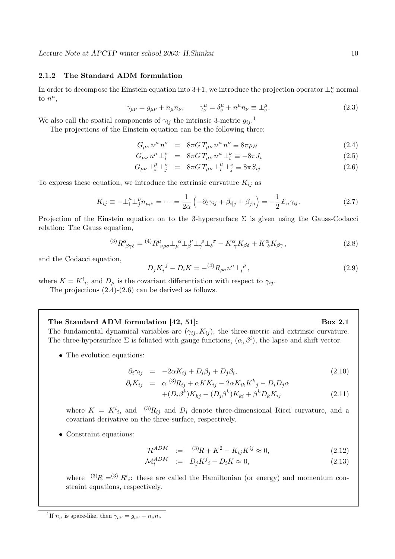#### **2.1.2 The Standard ADM formulation**

In order to decompose the Einstein equation into 3+1, we introduce the projection operator  $\perp^{\mu}_{\nu}$  normal to  $n^{\mu}$ ,

$$
\gamma_{\mu\nu} = g_{\mu\nu} + n_{\mu}n_{\nu}, \qquad \gamma_{\nu}^{\mu} = \delta_{\nu}^{\mu} + n^{\mu}n_{\nu} \equiv \perp_{\nu}^{\mu}.
$$
\n(2.3)

We also call the spatial components of  $\gamma_{ij}$  the intrinsic 3-metric  $g_{ij}$ .<sup>1</sup>

The projections of the Einstein equation can be the following three:

$$
G_{\mu\nu}n^{\mu}n^{\nu} = 8\pi G T_{\mu\nu}n^{\mu}n^{\nu} \equiv 8\pi \rho_H \tag{2.4}
$$

$$
G_{\mu\nu}n^{\mu}\perp_i^{\nu} = 8\pi G T_{\mu\nu}n^{\mu}\perp_i^{\nu} \equiv -8\pi J_i \tag{2.5}
$$

$$
G_{\mu\nu} \perp_i^{\mu} \perp_j^{\nu} = 8\pi G T_{\mu\nu} \perp_i^{\mu} \perp_j^{\nu} \equiv 8\pi S_{ij}
$$
\n(2.6)

To express these equation, we introduce the extrinsic curvature  $K_{ij}$  as

$$
K_{ij} \equiv -\perp_i^{\mu} \perp_j^{\nu} n_{\mu;\nu} = \dots = \frac{1}{2\alpha} \left( -\partial_t \gamma_{ij} + \beta_{i|j} + \beta_{j|i} \right) = -\frac{1}{2} \pounds_n \gamma_{ij}.
$$
 (2.7)

Projection of the Einstein equation on to the 3-hypersurface  $\Sigma$  is given using the Gauss-Codacci relation: The Gauss equation,

$$
^{(3)}R^{\alpha}_{\ \beta\gamma\delta} = {}^{(4)}R^{\mu}_{\ \nu\rho\sigma} \perp_{\mu}^{\ \alpha} \perp_{\beta}^{\ \nu} \perp_{\gamma}^{\ \rho} \perp_{\delta}^{\ \sigma} - K^{\alpha}_{\ \gamma} K_{\beta\delta} + K^{\alpha}_{\ \delta} K_{\beta\gamma} \,, \tag{2.8}
$$

and the Codacci equation,

$$
D_j K_i^{\ j} - D_i K = - {^{(4)}} R_{\rho \sigma} n^{\sigma} \perp_i^{\ \rho} , \tag{2.9}
$$

where  $K = K^i{}_i$ , and  $D_\mu$  is the covariant differentiation with respect to  $\gamma_{ij}$ .

The projections (2.4)-(2.6) can be derived as follows.

#### The Standard ADM formulation [42, 51]: Box 2.1

The fundamental dynamical variables are  $(\gamma_{ij}, K_{ij})$ , the three-metric and extrinsic curvature. The three-hypersurface  $\Sigma$  is foliated with gauge functions,  $(\alpha, \beta^i)$ , the lapse and shift vector.

• The evolution equations:

$$
\partial_t \gamma_{ij} = -2\alpha K_{ij} + D_i \beta_j + D_j \beta_i, \qquad (2.10)
$$

$$
\partial_t K_{ij} = \alpha^{(3)} R_{ij} + \alpha K K_{ij} - 2\alpha K_{ik} K^k{}_j - D_i D_j \alpha
$$

$$
+(D_i\beta^k)K_{kj} + (D_j\beta^k)K_{ki} + \beta^k D_k K_{ij}
$$
\n(2.11)

where  $K = K^{i}_{i}$ , and  $(3)R_{ij}$  and  $D_{i}$  denote three-dimensional Ricci curvature, and a covariant derivative on the three-surface, respectively.

• Constraint equations:

$$
\mathcal{H}^{ADM} := {}^{(3)}R + K^2 - K_{ij}K^{ij} \approx 0, \qquad (2.12)
$$

$$
\mathcal{M}_i^{ADM} \quad := \quad D_j K^j{}_i - D_i K \approx 0,\tag{2.13}
$$

where  $(3)R = (3) R^{i}$ ; these are called the Hamiltonian (or energy) and momentum constraint equations, respectively.

<sup>&</sup>lt;sup>1</sup>If  $n_{\mu}$  is space-like, then  $\gamma_{\mu\nu} = g_{\mu\nu} - n_{\mu}n_{\nu}$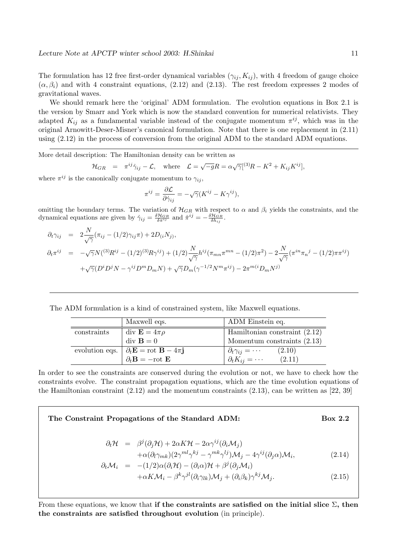The formulation has 12 free first-order dynamical variables  $(\gamma_{ij}, K_{ij})$ , with 4 freedom of gauge choice  $(\alpha, \beta_i)$  and with 4 constraint equations, (2.12) and (2.13). The rest freedom expresses 2 modes of gravitational waves.

We should remark here the 'original' ADM formulation. The evolution equations in Box 2.1 is the version by Smarr and York which is now the standard convention for numerical relativists. They adapted  $K_{ij}$  as a fundamental variable instead of the conjugate momentum  $\pi^{ij}$ , which was in the original Arnowitt-Deser-Misner's canonical formulation. Note that there is one replacement in (2.11) using (2.12) in the process of conversion from the original ADM to the standard ADM equations.

More detail description: The Hamiltonian density can be written as

$$
\mathcal{H}_{GR} = \pi^{ij}\dot{\gamma}_{ij} - \mathcal{L}, \text{ where } \mathcal{L} = \sqrt{-g}R = \alpha\sqrt{\gamma}[^{(3)}\!R - K^2 + K_{ij}K^{ij}],
$$

where  $\pi^{ij}$  is the canonically conjugate momentum to  $\gamma_{ij}$ ,

$$
\pi^{ij} = \frac{\partial \mathcal{L}}{\partial \dot{\gamma}_{ij}} = -\sqrt{\gamma} (K^{ij} - K\gamma^{ij}),
$$

omitting the boundary terms. The variation of  $\mathcal{H}_{GR}$  with respect to  $\alpha$  and  $\beta_i$  yields the constraints, and the dynamical equations are given by  $\dot{\gamma}_{ij} = \frac{\delta \mathcal{H}_{GR}}{\delta \pi^{ij}}$  and  $\dot{\pi}^{ij} = -\frac{\delta \mathcal{H}_{GR}}{\delta h_{ij}}$ .

$$
\partial_t \gamma_{ij} = 2 \frac{N}{\sqrt{\gamma}} (\pi_{ij} - (1/2)\gamma_{ij}\pi) + 2D_{(i}N_{j)},
$$
  
\n
$$
\partial_t \pi^{ij} = -\sqrt{\gamma} N({}^{(3)}R^{ij} - (1/2){}^{(3)}R\gamma^{ij}) + (1/2)\frac{N}{\sqrt{\gamma}}h^{ij}(\pi_{mn}\pi^{mn} - (1/2)\pi^2) - 2\frac{N}{\sqrt{\gamma}}(\pi^{in}\pi_n{}^j - (1/2)\pi\pi^{ij})
$$
  
\n
$$
+ \sqrt{\gamma}(D^i D^j N - \gamma^{ij}D^m D_m N) + \sqrt{\gamma}D_m(\gamma^{-1/2}N^m\pi^{ij}) - 2\pi^{m(i}D_m N^j)
$$

The ADM formulation is a kind of constrained system, like Maxwell equations.

|             | Maxwell eqs.                                                                      | ADM Einstein eq.                            |
|-------------|-----------------------------------------------------------------------------------|---------------------------------------------|
| constraints | $\mathrm{div}\ \mathbf{E}=4\pi\rho$                                               | Hamiltonian constraint $(2.12)$             |
|             | $\mathrm{div}\,\mathbf{B}=0$                                                      | Momentum constraints $(2.13)$               |
|             | evolution eqs. $\partial_t \mathbf{E} = \text{rot } \mathbf{B} - 4\pi \mathbf{j}$ | (2.10)<br>$\partial_t \gamma_{ij} = \cdots$ |
|             | $\partial_t \mathbf{B} = -\mathrm{rot} \mathbf{E}$                                | $\partial_t K_{ij} = \cdots$<br>(2.11)      |

In order to see the constraints are conserved during the evolution or not, we have to check how the constraints evolve. The constraint propagation equations, which are the time evolution equations of the Hamiltonian constraint (2.12) and the momentum constraints (2.13), can be written as [22, 39]

**The Constraint Propagations of the Standard ADM: Box 2.2**  $\partial_t \mathcal{H}$  =  $\beta^j(\partial_j \mathcal{H}) + 2\alpha K \mathcal{H} - 2\alpha \gamma^{ij}(\partial_i \mathcal{M}_j)$  $+\alpha(\partial_l \gamma_{mk})(2\gamma^{ml}\gamma^{kj} - \gamma^{mk}\gamma^{lj})\mathcal{M}_j - 4\gamma^{ij}(\partial_j \alpha)\mathcal{M}_i,$  (2.14)  $\partial_t \mathcal{M}_i = -(1/2) \alpha (\partial_i \mathcal{H}) - (\partial_i \alpha) \mathcal{H} + \beta^j (\partial_j \mathcal{M}_i)$  $+\alpha K \mathcal{M}_i - \beta^k \gamma^{jl} (\partial_i \gamma_{lk}) \mathcal{M}_i + (\partial_i \beta_k) \gamma^{kj} \mathcal{M}_j$  . (2.15)

From these equations, we know that **if the constraints are satisfied on the initial slice** Σ**, then the constraints are satisfied throughout evolution** (in principle).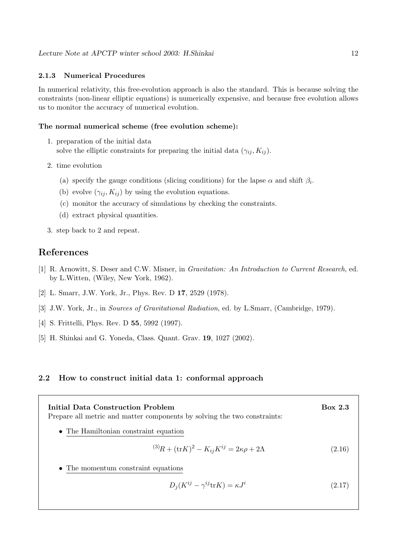#### **2.1.3 Numerical Procedures**

In numerical relativity, this free-evolution approach is also the standard. This is because solving the constraints (non-linear elliptic equations) is numerically expensive, and because free evolution allows us to monitor the accuracy of numerical evolution.

#### **The normal numerical scheme (free evolution scheme):**

- 1. preparation of the initial data solve the elliptic constraints for preparing the initial data  $(\gamma_{ij}, K_{ij})$ .
- 2. time evolution
	- (a) specify the gauge conditions (slicing conditions) for the lapse  $\alpha$  and shift  $\beta_i$ .
	- (b) evolve  $(\gamma_{ij}, K_{ij})$  by using the evolution equations.
	- (c) monitor the accuracy of simulations by checking the constraints.
	- (d) extract physical quantities.
- 3. step back to 2 and repeat.

## **References**

- [1] R. Arnowitt, S. Deser and C.W. Misner, in Gravitation: An Introduction to Current Research, ed. by L.Witten, (Wiley, New York, 1962).
- [2] L. Smarr, J.W. York, Jr., Phys. Rev. D **17**, 2529 (1978).
- [3] J.W. York, Jr., in Sources of Gravitational Radiation, ed. by L.Smarr, (Cambridge, 1979).
- [4] S. Frittelli, Phys. Rev. D **55**, 5992 (1997).
- [5] H. Shinkai and G. Yoneda, Class. Quant. Grav. **19**, 1027 (2002).

#### **2.2 How to construct initial data 1: conformal approach**

| Initial Data Construction Problem<br>Prepare all metric and matter components by solving the two constraints: | <b>Box 2.3</b> |
|---------------------------------------------------------------------------------------------------------------|----------------|
| • The Hamiltonian constraint equation                                                                         |                |
| $^{(3)}R + (\text{tr}K)^2 - K_{ij}K^{ij} = 2\kappa\rho + 2\Lambda$                                            | (2.16)         |
| • The momentum constraint equations                                                                           |                |

$$
D_j(K^{ij} - \gamma^{ij} \text{tr} K) = \kappa J^i \tag{2.17}
$$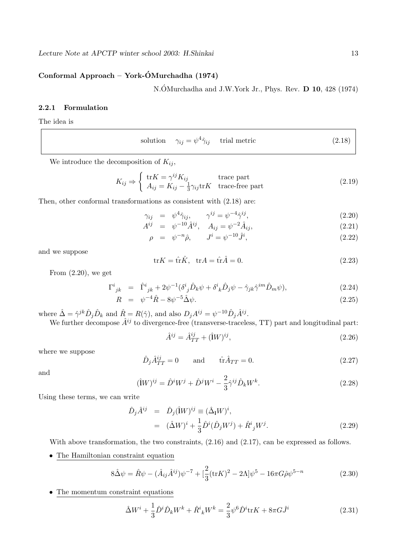## **Conformal Approach – York-OMurchadha (1974) ´**

N.ÓMurchadha and J.W.York Jr., Phys. Rev. **D 10**, 428 (1974)

## **2.2.1 Formulation**

The idea is

solution 
$$
\gamma_{ij} = \psi^4 \hat{\gamma}_{ij}
$$
 trial metric (2.18)

We introduce the decomposition of  $K_{ij}$ ,

$$
K_{ij} \Rightarrow \begin{cases} \text{tr}K = \gamma^{ij} K_{ij} & \text{trace part} \\ A_{ij} = K_{ij} - \frac{1}{3} \gamma_{ij} \text{tr}K & \text{trace-free part} \end{cases}
$$
 (2.19)

Then, other conformal transformations as consistent with (2.18) are:

$$
\gamma_{ij} = \psi^4 \hat{\gamma}_{ij}, \qquad \gamma^{ij} = \psi^{-4} \hat{\gamma}^{ij}, \tag{2.20}
$$

$$
A^{ij} = \psi^{-10} \hat{A}^{ij}, \quad A_{ij} = \psi^{-2} \hat{A}_{ij}, \tag{2.21}
$$

$$
\rho = \psi^{-n} \hat{\rho}, \qquad J^i = \psi^{-10} \hat{J}^i,
$$
\n(2.22)

and we suppose

$$
\text{tr}K = \hat{\text{tr}}\hat{K}, \quad \text{tr}A = \hat{\text{tr}}\hat{A} = 0. \tag{2.23}
$$

From  $(2.20)$ , we get

$$
\Gamma^{i}{}_{jk} = \hat{\Gamma}^{i}{}_{jk} + 2\psi^{-1} (\delta^{i}{}_{j} \hat{D}_{k} \psi + \delta^{i}{}_{k} \hat{D}_{j} \psi - \hat{\gamma}_{jk} \hat{\gamma}^{im} \hat{D}_{m} \psi), \tag{2.24}
$$

$$
R = \psi^{-4}\hat{R} - 8\psi^{-5}\hat{\Delta}\psi.
$$
 (2.25)

where  $\hat{\Delta} = \hat{\gamma}^{jk} \hat{D}_j \hat{D}_k$  and  $\hat{R} = R(\hat{\gamma})$ , and also  $D_j A^{ij} = \psi^{-10} \hat{D}_j \hat{A}^{ij}$ .

We further decompose  $\hat{A}^{ij}$  to divergence-free (transverse-traceless, TT) part and longitudinal part:

$$
\hat{A}^{ij} = \hat{A}_{TT}^{ij} + (\hat{\mathbf{i}}W)^{ij},\tag{2.26}
$$

where we suppose

$$
\hat{D}_j \hat{A}_{TT}^{ij} = 0 \quad \text{and} \quad \hat{\text{tr}} \hat{A}_{TT} = 0. \tag{2.27}
$$

and

$$
(\hat{\mathbf{I}}W)^{ij} = \hat{D}^i W^j + \hat{D}^j W^i - \frac{2}{3} \hat{\gamma}^{ij} \hat{D}_k W^k. \tag{2.28}
$$

Using these terms, we can write

$$
\hat{D}_j \hat{A}^{ij} = \hat{D}_j (\hat{\mathbf{i}} W)^{ij} \equiv (\hat{\Delta}_{\mathbf{i}} W)^i, \n= (\hat{\Delta} W)^i + \frac{1}{3} \hat{D}^i (\hat{D}_j W^j) + \hat{R}^i{}_j W^j.
$$
\n(2.29)

With above transformation, the two constraints,  $(2.16)$  and  $(2.17)$ , can be expressed as follows.

• The Hamiltonian constraint equation

$$
8\hat{\Delta}\psi = \hat{R}\psi - (\hat{A}_{ij}\hat{A}^{ij})\psi^{-7} + [\frac{2}{3}(\text{tr}K)^2 - 2\Lambda]\psi^5 - 16\pi G\hat{\rho}\psi^{5-n}
$$
(2.30)

• The momentum constraint equations

$$
\hat{\Delta}W^i + \frac{1}{3}\hat{D}^i\hat{D}_kW^k + \hat{R}^i{}_kW^k = \frac{2}{3}\psi^6\hat{D}^i\text{tr}K + 8\pi G\hat{J}^i
$$
\n(2.31)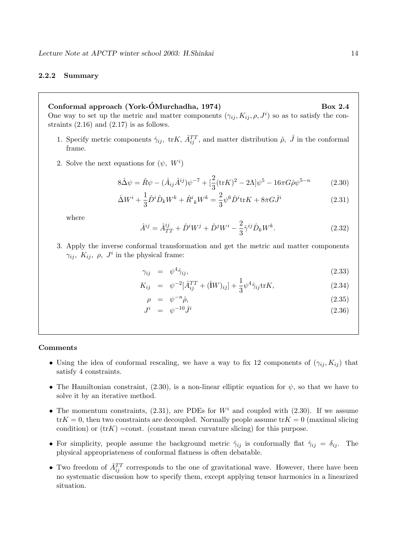#### **2.2.2 Summary**

## **Conformal approach (York-OMurchadha, 1974) Box 2.4 ´**

One way to set up the metric and matter components  $(\gamma_{ij}, K_{ij}, \rho, J^i)$  so as to satisfy the constraints  $(2.16)$  and  $(2.17)$  is as follows.

- 1. Specify metric components  $\hat{\gamma}_{ij}$ , tr $K$ ,  $\hat{A}_{ij}^{TT}$ , and matter distribution  $\hat{\rho}$ ,  $\hat{J}$  in the conformal frame.
- 2. Solve the next equations for  $(\psi, W^i)$

$$
8\hat{\Delta}\psi = \hat{R}\psi - (\hat{A}_{ij}\hat{A}^{ij})\psi^{-7} + [\frac{2}{3}(\text{tr}K)^2 - 2\Lambda]\psi^5 - 16\pi G\hat{\rho}\psi^{5-n}
$$
(2.30)

$$
\hat{\Delta}W^{i} + \frac{1}{3}\hat{D}^{i}\hat{D}_{k}W^{k} + \hat{R}^{i}{}_{k}W^{k} = \frac{2}{3}\psi^{6}\hat{D}^{i}\text{tr}K + 8\pi G\hat{J}^{i}
$$
\n(2.31)

where

$$
\hat{A}^{ij} = \hat{A}^{ij}_{TT} + \hat{D}^i W^j + \hat{D}^j W^i - \frac{2}{3} \hat{\gamma}^{ij} \hat{D}_k W^k.
$$
 (2.32)

3. Apply the inverse conformal transformation and get the metric and matter components  $\gamma_{ij}, K_{ij}, \rho, J^i$  in the physical frame:

$$
\gamma_{ij} = \psi^4 \hat{\gamma}_{ij}, \qquad (2.33)
$$

$$
K_{ij} = \psi^{-2} [\hat{A}_{ij}^{TT} + (\hat{1}W)_{ij}] + \frac{1}{3} \psi^4 \hat{\gamma}_{ij} \text{tr} K,
$$
\n(2.34)

$$
\rho = \psi^{-n}\hat{\rho},\tag{2.35}
$$

$$
J^i = \psi^{-10} \hat{J}^i \tag{2.36}
$$

#### **Comments**

- Using the idea of conformal rescaling, we have a way to fix 12 components of  $(\gamma_{ij}, K_{ij})$  that satisfy 4 constraints.
- The Hamiltonian constraint,  $(2.30)$ , is a non-linear elliptic equation for  $\psi$ , so that we have to solve it by an iterative method.
- The momentum constraints, (2.31), are PDEs for  $W<sup>i</sup>$  and coupled with (2.30). If we assume  $trK = 0$ , then two constraints are decoupled. Normally people assume  $trK = 0$  (maximal slicing condition) or  $(trK) = const.$  (constant mean curvature slicing) for this purpose.
- For simplicity, people assume the background metric  $\hat{\gamma}_{ij}$  is conformally flat  $\hat{\gamma}_{ij} = \delta_{ij}$ . The physical appropriateness of conformal flatness is often debatable.
- Two freedom of  $\hat{A}_{ij}^{TT}$  corresponds to the one of gravitational wave. However, there have been no systematic discussion how to specify them, except applying tensor harmonics in a linearized situation.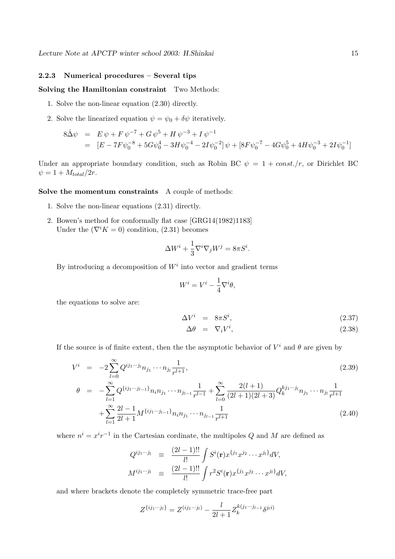#### **2.2.3 Numerical procedures – Several tips**

#### **Solving the Hamiltonian constraint** Two Methods:

- 1. Solve the non-linear equation (2.30) directly.
- 2. Solve the linearized equation  $\psi = \psi_0 + \delta \psi$  iteratively.

$$
8\hat{\Delta}\psi = E \psi + F \psi^{-7} + G \psi^5 + H \psi^{-3} + I \psi^{-1}
$$
  
= 
$$
[E - 7F\psi_0^{-8} + 5G\psi_0^4 - 3H\psi_0^{-4} - 2I\psi_0^{-2}] \psi + [8F\psi_0^{-7} - 4G\psi_0^5 + 4H\psi_0^{-3} + 2I\psi_0^{-1}]
$$

Under an appropriate boundary condition, such as Robin BC  $\psi = 1 + const./r$ , or Dirichlet BC  $\psi = 1 + M_{total}/2r.$ 

#### **Solve the momentum constraints** A couple of methods:

- 1. Solve the non-linear equations (2.31) directly.
- 2. Bowen's method for conformally flat case [GRG14(1982)1183] Under the  $(\nabla^i K = 0)$  condition, (2.31) becomes

$$
\Delta W^i + \frac{1}{3} \nabla^i \nabla_j W^j = 8\pi S^i.
$$

By introducing a decomposition of  $W<sup>i</sup>$  into vector and gradient terms

$$
W^i = V^i - \frac{1}{4} \nabla^i \theta,
$$

the equations to solve are:

$$
\Delta V^i = 8\pi S^i, \tag{2.37}
$$

$$
\Delta \theta = \nabla_i V^i, \tag{2.38}
$$

If the source is of finite extent, then the the asymptotic behavior of  $V^i$  and  $\theta$  are given by

$$
V^{i} = -2\sum_{l=0}^{\infty} Q^{ij_{1}\cdots j_{l}} n_{j_{1}} \cdots n_{j_{l}} \frac{1}{r^{l+1}},
$$
\n
$$
\theta = -\sum_{l=1}^{\infty} Q^{\{ij_{1}\cdots j_{l-1}\}} n_{i} n_{j_{1}} \cdots n_{j_{l-1}} \frac{1}{r^{l-1}} + \sum_{l=0}^{\infty} \frac{2(l+1)}{(2l+1)(2l+3)} Q_{k}^{kj_{1}\cdots j_{l}} n_{j_{1}} \cdots n_{j_{l}} \frac{1}{r^{l+1}}
$$
\n
$$
+ \sum_{l=1}^{\infty} \frac{2l-1}{2l+1} M^{\{ij_{1}\cdots j_{l-1}\}} n_{i} n_{j_{1}} \cdots n_{j_{l-1}} \frac{1}{r^{l+1}}
$$
\n(2.40)

where  $n^i = x^i r^{-1}$  in the Cartesian cordinate, the multipoles Q and M are defined as

$$
Q^{ij_1\cdots j_l} \equiv \frac{(2l-1)!!}{l!} \int S^i(\mathbf{r}) x^{\{j_1\}} x^{j_2} \cdots x^{j_l\} dV,
$$
  

$$
M^{ij_1\cdots j_l} \equiv \frac{(2l-1)!!}{l!} \int r^2 S^i(\mathbf{r}) x^{\{j_1\}} x^{j_2} \cdots x^{j_l\} dV,
$$

and where brackets denote the completely symmetric trace-free part

$$
Z^{\{ij_1\cdots j_l\}} = Z^{(ij_1\cdots j_l)} - \frac{l}{2l+1} Z_k^{k(j_1\cdots j_{l-1}} \delta^{j_l i)}
$$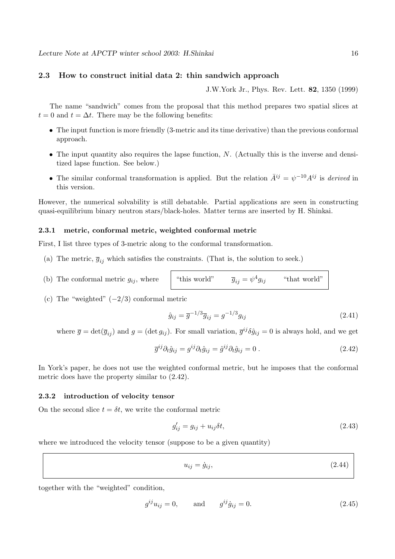#### **2.3 How to construct initial data 2: thin sandwich approach**

J.W.York Jr., Phys. Rev. Lett. **82**, 1350 (1999)

The name "sandwich" comes from the proposal that this method prepares two spatial slices at  $t = 0$  and  $t = \Delta t$ . There may be the following benefits:

- The input function is more friendly (3-metric and its time derivative) than the previous conformal approach.
- The input quantity also requires the lapse function,  $N$ . (Actually this is the inverse and densitized lapse function. See below.)
- The similar conformal transformation is applied. But the relation  $\bar{A}^{ij} = \psi^{-10} A^{ij}$  is derived in this version.

However, the numerical solvability is still debatable. Partial applications are seen in constructing quasi-equilibrium binary neutron stars/black-holes. Matter terms are inserted by H. Shinkai.

#### **2.3.1 metric, conformal metric, weighted conformal metric**

First, I list three types of 3-metric along to the conformal transformation.

- (a) The metric,  $\overline{g}_{ij}$  which satisfies the constraints. (That is, the solution to seek.)
- (b) The conformal metric  $g_{ij}$ , where

"this world" 
$$
\overline{g}_{ij} = \psi^4 g_{ij}
$$
 "that world"

(c) The "weighted"  $(-2/3)$  conformal metric

$$
\hat{g}_{ij} = \overline{g}^{-1/3} \overline{g}_{ij} = g^{-1/3} g_{ij}
$$
\n(2.41)

where  $\overline{g} = \det(\overline{g}_{ij})$  and  $g = (\det g_{ij})$ . For small variation,  $\overline{g}^{ij} \delta \hat{g}_{ij} = 0$  is always hold, and we get

$$
\overline{g}^{ij}\partial_t \hat{g}_{ij} = g^{ij}\partial_t \hat{g}_{ij} = \hat{g}^{ij}\partial_t \hat{g}_{ij} = 0.
$$
\n(2.42)

In York's paper, he does not use the weighted conformal metric, but he imposes that the conformal metric does have the property similar to (2.42).

#### **2.3.2 introduction of velocity tensor**

On the second slice  $t = \delta t$ , we write the conformal metric

$$
g'_{ij} = g_{ij} + u_{ij}\delta t,\tag{2.43}
$$

where we introduced the velocity tensor (suppose to be a given quantity)

$$
u_{ij} = \dot{g}_{ij},\tag{2.44}
$$

together with the "weighted" condition,

$$
g^{ij}u_{ij} = 0, \t and \t g^{ij}\dot{g}_{ij} = 0.
$$
 (2.45)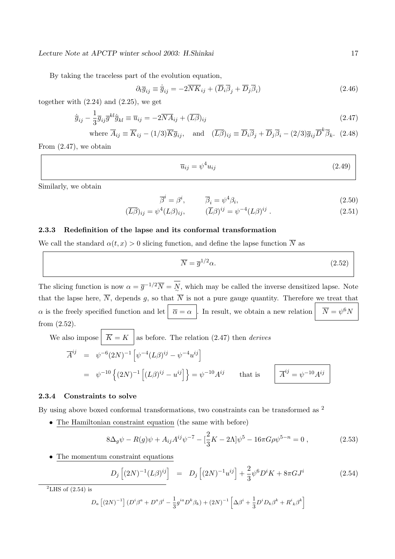By taking the traceless part of the evolution equation,

$$
\partial_t \overline{g}_{ij} \equiv \dot{\overline{g}}_{ij} = -2\overline{NK}_{ij} + (\overline{D}_i \overline{\beta}_j + \overline{D}_j \overline{\beta}_i)
$$
(2.46)

together with  $(2.24)$  and  $(2.25)$ , we get

$$
\dot{\overline{g}}_{ij} - \frac{1}{3}\overline{g}_{ij}\overline{g}^{kl}\dot{\overline{g}}_{kl} \equiv \overline{u}_{ij} = -2\overline{N}\overline{A}_{ij} + (\overline{L}\overline{\beta})_{ij}
$$
\n(2.47)

where  $\overline{A}_{ij} \equiv \overline{K}_{ij} - (1/3)\overline{K}\overline{g}_{ij}$ , and  $(\overline{L}\overline{\beta})_{ij} \equiv \overline{D}_i\overline{\beta}_j + \overline{D}_j\overline{\beta}_i - (2/3)\overline{g}_{ij}\overline{D}^k\overline{\beta}_k$ . (2.48)

From (2.47), we obtain

$$
\overline{u}_{ij} = \psi^4 u_{ij} \tag{2.49}
$$

Similarly, we obtain

$$
\overline{\beta}^i = \beta^i, \qquad \overline{\beta}_i = \psi^4 \beta_i, \tag{2.50}
$$

$$
(\overline{L\beta})_{ij} = \psi^4 (L\beta)_{ij}, \qquad (\overline{L}\beta)^{ij} = \psi^{-4} (L\beta)^{ij} . \qquad (2.51)
$$

#### **2.3.3 Redefinition of the lapse and its conformal transformation**

We call the standard  $\alpha(t, x) > 0$  slicing function, and define the lapse function  $\overline{N}$  as

$$
\overline{N} = \overline{g}^{1/2} \alpha. \tag{2.52}
$$

The slicing function is now  $\alpha = \overline{g}^{-1/2} \overline{N} = N$ , which may be called the inverse densitized lapse. Note that the lapse here,  $\overline{N}$ , depends g, so that  $\overline{N}$  is not a pure gauge quantity. Therefore we treat that  $\alpha$  is the freely specified function and let  $\overline{\alpha} = \alpha$ . In result, we obtain a new relation  $\overline{N} = \psi^6 N$ from (2.52).

We also impose 
$$
|\overline{K} = K|
$$
 as before. The relation (2.47) then *derives*  
\n
$$
\overline{A}^{ij} = \psi^{-6} (2N)^{-1} [\psi^{-4} (L\beta)^{ij} - \psi^{-4} u^{ij}]
$$
\n
$$
= \psi^{-10} \left\{ (2N)^{-1} [(L\beta)^{ij} - u^{ij}] \right\} = \psi^{-10} A^{ij} \quad \text{that is} \quad \overline{A}^{ij} = \psi^{-10} A^{ij}
$$

#### **2.3.4 Constraints to solve**

By using above boxed conformal transformations, two constraints can be transformed as <sup>2</sup>

• The Hamiltonian constraint equation (the same with before)

$$
8\Delta_g \psi - R(g)\psi + A_{ij}A^{ij}\psi^{-7} - \left[\frac{2}{3}K - 2\Lambda\right]\psi^5 - 16\pi G\rho\psi^{5-n} = 0\,,\tag{2.53}
$$

• The momentum constraint equations

$$
D_j [(2N)^{-1} (L\beta)^{ij}] = D_j [(2N)^{-1} u^{ij}] + \frac{2}{3} \psi^6 D^i K + 8\pi G J^i
$$
 (2.54)

 ${}^{2}$ LHS of (2.54) is

$$
D_a \left[ (2N)^{-1} \right] (D^i \beta^a + D^a \beta^i - \frac{1}{3} g^{ia} D^k \beta_k) + (2N)^{-1} \left[ \Delta \beta^i + \frac{1}{3} D^i D_k \beta^k + R^i{}_{k} \beta^k \right]
$$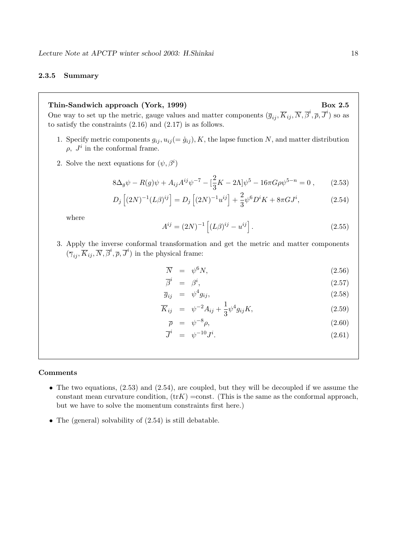#### **2.3.5 Summary**

## Thin-Sandwich approach (York, 1999) Box 2.5

One way to set up the metric, gauge values and matter components  $(\overline{g}_{ij}, \overline{K}_{ij}, \overline{N}, \overline{\beta}^i, \overline{\rho}, \overline{J}^i)$  so as to satisfy the constraints (2.16) and (2.17) is as follows.

- 1. Specify metric components  $g_{ij}$ ,  $u_{ij} (= \dot{g}_{ij})$ , K, the lapse function N, and matter distribution  $\rho$ ,  $J^i$  in the conformal frame.
- 2. Solve the next equations for  $(\psi, \beta^i)$

$$
8\Delta_g \psi - R(g)\psi + A_{ij}A^{ij}\psi^{-7} - \left[\frac{2}{3}K - 2\Lambda\right]\psi^5 - 16\pi G\rho\psi^{5-n} = 0\,,\qquad(2.53)
$$

$$
D_j [(2N)^{-1} (L\beta)^{ij}] = D_j [(2N)^{-1} u^{ij}] + \frac{2}{3} \psi^6 D^i K + 8\pi G J^i,
$$
 (2.54)

where

$$
A^{ij} = (2N)^{-1} \left[ (L\beta)^{ij} - u^{ij} \right].
$$
 (2.55)

3. Apply the inverse conformal transformation and get the metric and matter components  $(\overline{\gamma}_{ij}, \overline{K}_{ij}, \overline{N}, \overline{\beta}^i, \overline{\rho}, \overline{J}^i)$  in the physical frame:

$$
\overline{N} = \psi^6 N, \tag{2.56}
$$

$$
\overline{\beta}^i = \beta^i, \tag{2.57}
$$

$$
\overline{g}_{ij} = \psi^4 g_{ij}, \qquad (2.58)
$$

$$
\overline{K}_{ij} = \psi^{-2} A_{ij} + \frac{1}{3} \psi^4 g_{ij} K, \qquad (2.59)
$$

$$
\overline{\rho} = \psi^{-8} \rho, \tag{2.60}
$$

$$
\overline{J}^i = \psi^{-10} J^i. \tag{2.61}
$$

#### **Comments**

- The two equations,  $(2.53)$  and  $(2.54)$ , are coupled, but they will be decoupled if we assume the constant mean curvature condition,  $(\text{tr}K) = \text{const.}$  (This is the same as the conformal approach, but we have to solve the momentum constraints first here.)
- The (general) solvability of  $(2.54)$  is still debatable.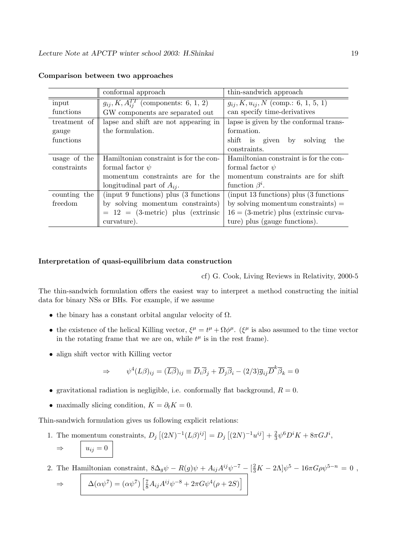|              | conformal approach                             | thin-sandwich approach                     |
|--------------|------------------------------------------------|--------------------------------------------|
| input        | $g_{ij}, K, A_{ij}^{TT}$ (components: 6, 1, 2) | $g_{ij}, K, u_{ij}, N$ (comp.: 6, 1, 5, 1) |
| functions    | GW components are separated out                | can specify time-derivatives               |
| treatment of | lapse and shift are not appearing in           | lapse is given by the conformal trans-     |
| gauge        | the formulation.                               | formation.                                 |
| functions    |                                                | shift is given<br>solving<br>the<br>by     |
|              |                                                | constraints.                               |
| usage of the | Hamiltonian constraint is for the con-         | Hamiltonian constraint is for the con-     |
| constraints  | formal factor $\psi$                           | formal factor $\psi$                       |
|              | momentum constraints are for the               | momentum constraints are for shift         |
|              | longitudinal part of $A_{ij}$ .                | function $\beta^i$ .                       |
| counting the | (input 9 functions) plus (3 functions)         | (input 13 functions) plus (3 functions)    |
| freedom      | by solving momentum constraints)               | by solving momentum constraints) $=$       |
|              | $= 12 = (3$ -metric) plus (extrinsic           | $16 = (3$ -metric) plus (extrinsic curva-  |
|              | curvature).                                    | ture) plus (gauge functions).              |

#### **Comparison between two approaches**

#### **Interpretation of quasi-equilibrium data construction**

cf) G. Cook, Living Reviews in Relativity, 2000-5

The thin-sandwich formulation offers the easiest way to interpret a method constructing the initial data for binary NSs or BHs. For example, if we assume

- the binary has a constant orbital angular velocity of  $\Omega$ .
- the existence of the helical Killing vector,  $\xi^{\mu} = t^{\mu} + \Omega \phi^{\mu}$ . ( $\xi^{\mu}$  is also assumed to the time vector in the rotating frame that we are on, while  $t^{\mu}$  is in the rest frame).
- align shift vector with Killing vector

$$
\Rightarrow \qquad \psi^4(L\beta)_{ij} = (\overline{L\beta})_{ij} \equiv \overline{D}_i \overline{\beta}_j + \overline{D}_j \overline{\beta}_i - (2/3)\overline{g}_{ij} \overline{D}^k \overline{\beta}_k = 0
$$

- gravitational radiation is negligible, i.e. conformally flat background,  $R = 0$ .
- maximally slicing condition,  $K = \partial_t K = 0$ .

Thin-sandwich formulation gives us following explicit relations:

1. The momentum constraints,  $D_j [(2N)^{-1}(L\beta)^{ij}] = D_j [(2N)^{-1}u^{ij}] + \frac{2}{3}\psi^6 D^i K + 8\pi G J^i$ ,  $\Rightarrow$   $u_{ij} = 0$ 

2. The Hamiltonian constraint,  $8\Delta_g\psi - R(g)\psi + A_{ij}A^{ij}\psi^{-7} - \left[\frac{2}{3}K - 2\Lambda\right]\psi^5 - 16\pi G\rho\psi^{5-n} = 0$ ,

$$
\Rightarrow \qquad \Delta(\alpha \psi^7) = (\alpha \psi^7) \left[ \frac{7}{8} A_{ij} A^{ij} \psi^{-8} + 2\pi G \psi^4 (\rho + 2S) \right]
$$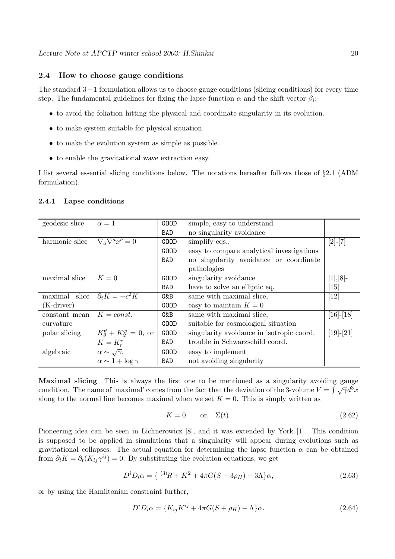#### **2.4 How to choose gauge conditions**

The standard  $3+1$  formulation allows us to choose gauge conditions (slicing conditions) for every time step. The fundamental guidelines for fixing the lapse function  $\alpha$  and the shift vector  $\beta_i$ :

- to avoid the foliation hitting the physical and coordinate singularity in its evolution.
- to make system suitable for physical situation.
- to make the evolution system as simple as possible.
- to enable the gravitational wave extraction easy.

I list several essential slicing conditions below. The notations hereafter follows those of §2.1 (ADM formulation).

| geodesic slice               | $\alpha=1$                                             | <b>GOOD</b> | simple, easy to understand                |                    |
|------------------------------|--------------------------------------------------------|-------------|-------------------------------------------|--------------------|
|                              |                                                        | BAD         | no singularity avoidance                  |                    |
| harmonic slice               | $\nabla_a \nabla^a x^b = 0$                            | <b>GOOD</b> | simplify eqs.,                            | $[2]$ - $[7]$      |
|                              |                                                        | <b>GOOD</b> | easy to compare analytical investigations |                    |
|                              |                                                        | BAD         | no singularity avoidance or coordinate    |                    |
|                              |                                                        |             | pathologies                               |                    |
| maximal slice                | $K=0$                                                  | GOOD        | singularity avoidance                     | $[1],[8]$ -        |
|                              |                                                        | BAD         | have to solve an elliptic eq.             | $\lceil 15 \rceil$ |
| maximal slice                | $\partial_t K = -c^2 K$                                | G&B         | same with maximal slice,                  | [12]               |
| $(K\text{-}\mathrm{driver})$ |                                                        | <b>GOOD</b> | easy to maintain $K=0$                    |                    |
| constant mean $K = const.$   |                                                        | G&B         | same with maximal slice,                  | $[16]$ - $[18]$    |
| curvature                    |                                                        | <b>GOOD</b> | suitable for cosmological situation       |                    |
| polar slicing                | $K^{\theta}_{\theta} + K^{\varphi}_{\varphi} = 0$ , or | <b>GOOD</b> | singularity avoidance in isotropic coord. | $[19]-[21]$        |
|                              | $K=K_r^r$                                              | BAD         | trouble in Schwarzschild coord.           |                    |
| algebraic                    | $\alpha \sim \sqrt{\gamma},$                           | <b>GOOD</b> | easy to implement                         |                    |
|                              | $\alpha \sim 1 + \log \gamma$                          | BAD         | not avoiding singularity                  |                    |

#### **2.4.1 Lapse conditions**

**Maximal slicing** This is always the first one to be mentioned as a singularity avoiding gauge condition. The name of 'maximal' comes from the fact that the deviation of the 3-volume  $V = \int \sqrt{\gamma} d^3x$ along to the normal line becomes maximal when we set  $K = 0$ . This is simply written as

$$
K = 0 \qquad \text{on} \quad \Sigma(t). \tag{2.62}
$$

Pioneering idea can be seen in Lichnerowicz [8], and it was extended by York [1]. This condition is supposed to be applied in simulations that a singularity will appear during evolutions such as gravitational collapses. The actual equation for determining the lapse function  $\alpha$  can be obtained from  $\partial_t K = \partial_t (K_{ij} \gamma^{ij}) = 0$ . By substituting the evolution equations, we get

$$
D^i D_i \alpha = \{ (3)R + K^2 + 4\pi G(S - 3\rho_H) - 3\Lambda \} \alpha, \tag{2.63}
$$

or by using the Hamiltonian constraint further,

$$
D^i D_i \alpha = \{ K_{ij} K^{ij} + 4\pi G(S + \rho_H) - \Lambda \} \alpha.
$$
\n(2.64)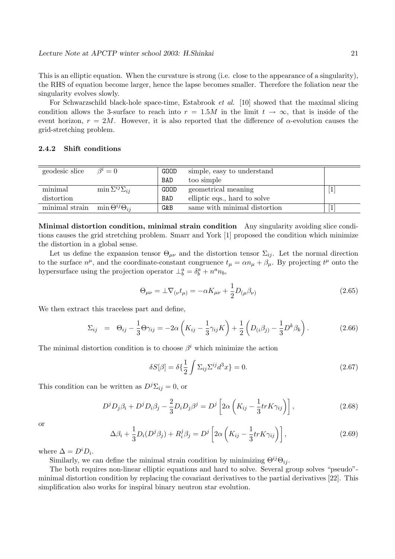This is an elliptic equation. When the curvature is strong (i.e. close to the appearance of a singularity), the RHS of equation become larger, hence the lapse becomes smaller. Therefore the foliation near the singularity evolves slowly.

For Schwarzschild black-hole space-time, Estabrook *et al.* [10] showed that the maximal slicing condition allows the 3-surface to reach into  $r = 1.5M$  in the limit  $t \to \infty$ , that is inside of the event horizon,  $r = 2M$ . However, it is also reported that the difference of  $\alpha$ -evolution causes the grid-stretching problem.

#### **2.4.2 Shift conditions**

| geodesic slice | $\beta^i=0$                    | GOOD       | simple, easy to understand   |  |
|----------------|--------------------------------|------------|------------------------------|--|
|                |                                | <b>BAD</b> | too simple                   |  |
| minimal        | $\min \Sigma^{ij} \Sigma_{ij}$ | GOOD       | geometrical meaning          |  |
| distortion     |                                | BAD        | elliptic eqs., hard to solve |  |
| minimal strain | $\min \Theta^{ij} \Theta_{ij}$ | G&B        | same with minimal distortion |  |

**Minimal distortion condition, minimal strain condition** Any singularity avoiding slice conditions causes the grid stretching problem. Smarr and York [1] proposed the condition which minimize the distortion in a global sense.

Let us define the expansion tensor  $\Theta_{\mu\nu}$  and the distortion tensor  $\Sigma_{ij}$ . Let the normal direction to the surface  $n^{\mu}$ , and the coordinate-constant congruence  $t_{\mu} = \alpha n_{\mu} + \beta_{\mu}$ . By projecting  $t^{\mu}$  onto the hypersurface using the projection operator  $\perp_b^a = \delta_b^a + n^a n_b$ ,

$$
\Theta_{\mu\nu} = \pm \nabla_{(\nu} t_{\mu)} = -\alpha K_{\mu\nu} + \frac{1}{2} D_{(\mu} \beta_{\nu)} \tag{2.65}
$$

We then extract this traceless part and define,

$$
\Sigma_{ij} = \Theta_{ij} - \frac{1}{3}\Theta\gamma_{ij} = -2\alpha\left(K_{ij} - \frac{1}{3}\gamma_{ij}K\right) + \frac{1}{2}\left(D_{(i}\beta_{j)} - \frac{1}{3}D^{k}\beta_{k}\right). \tag{2.66}
$$

The minimal distortion condition is to choose  $\beta^{i}$  which minimize the action

$$
\delta S[\beta] = \delta \left\{ \frac{1}{2} \int \Sigma_{ij} \Sigma^{ij} d^3 x \right\} = 0. \tag{2.67}
$$

This condition can be written as  $D^j \Sigma_{ij} = 0$ , or

$$
D^j D_j \beta_i + D^j D_i \beta_j - \frac{2}{3} D_i D_j \beta^j = D^j \left[ 2\alpha \left( K_{ij} - \frac{1}{3} tr K \gamma_{ij} \right) \right],
$$
\n(2.68)

or

$$
\Delta\beta_i + \frac{1}{3}D_i(D^j\beta_j) + R_i^j\beta_j = D^j \left[2\alpha \left(K_{ij} - \frac{1}{3}trK\gamma_{ij}\right)\right],\tag{2.69}
$$

where  $\Delta = D^i D_i$ .

Similarly, we can define the minimal strain condition by minimizing  $\Theta^{ij}\Theta_{ij}$ .

The both requires non-linear elliptic equations and hard to solve. Several group solves "pseudo" minimal distortion condition by replacing the covariant derivatives to the partial derivatives [22]. This simplification also works for inspiral binary neutron star evolution.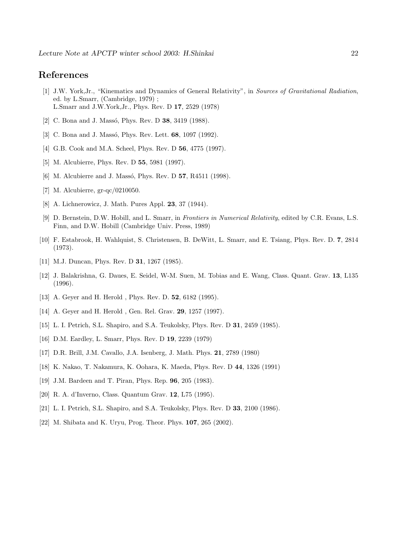## **References**

- [1] J.W. York,Jr., "Kinematics and Dynamics of General Relativity", in Sources of Gravitational Radiation, ed. by L.Smarr, (Cambridge, 1979) ; L.Smarr and J.W.York,Jr., Phys. Rev. D **17**, 2529 (1978)
- [2] C. Bona and J. Massó, Phys. Rev. D **38**, 3419 (1988).
- [3] C. Bona and J. Massó, Phys. Rev. Lett. **68**, 1097 (1992).
- [4] G.B. Cook and M.A. Scheel, Phys. Rev. D **56**, 4775 (1997).
- [5] M. Alcubierre, Phys. Rev. D **55**, 5981 (1997).
- [6] M. Alcubierre and J. Massó, Phys. Rev. D **57**, R4511 (1998).
- [7] M. Alcubierre, gr-qc/0210050.
- [8] A. Lichnerowicz, J. Math. Pures Appl. **23**, 37 (1944).
- [9] D. Bernstein, D.W. Hobill, and L. Smarr, in Frontiers in Numerical Relativity, edited by C.R. Evans, L.S. Finn, and D.W. Hobill (Cambridge Univ. Press, 1989)
- [10] F. Estabrook, H. Wahlquist, S. Christensen, B. DeWitt, L. Smarr, and E. Tsiang, Phys. Rev. D. **7**, 2814 (1973).
- [11] M.J. Duncan, Phys. Rev. D **31**, 1267 (1985).
- [12] J. Balakrishna, G. Daues, E. Seidel, W-M. Suen, M. Tobias and E. Wang, Class. Quant. Grav. **13**, L135 (1996).
- [13] A. Geyer and H. Herold , Phys. Rev. D. **52**, 6182 (1995).
- [14] A. Geyer and H. Herold , Gen. Rel. Grav. **29**, 1257 (1997).
- [15] L. I. Petrich, S.L. Shapiro, and S.A. Teukolsky, Phys. Rev. D **31**, 2459 (1985).
- [16] D.M. Eardley, L. Smarr, Phys. Rev. D **19**, 2239 (1979)
- [17] D.R. Brill, J.M. Cavallo, J.A. Isenberg, J. Math. Phys. **21**, 2789 (1980)
- [18] K. Nakao, T. Nakamura, K. Oohara, K. Maeda, Phys. Rev. D **44**, 1326 (1991)
- [19] J.M. Bardeen and T. Piran, Phys. Rep. **96**, 205 (1983).
- [20] R. A. d'Inverno, Class. Quantum Grav. **12**, L75 (1995).
- [21] L. I. Petrich, S.L. Shapiro, and S.A. Teukolsky, Phys. Rev. D **33**, 2100 (1986).
- [22] M. Shibata and K. Uryu, Prog. Theor. Phys. **107**, 265 (2002).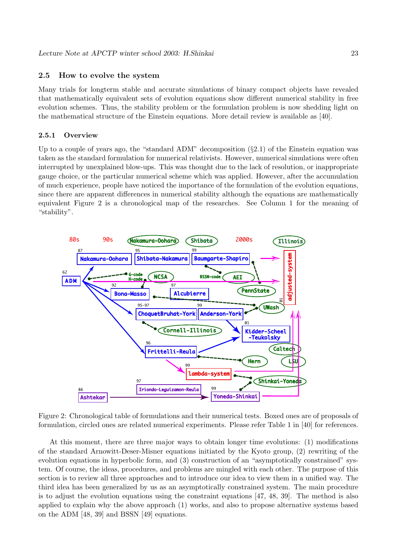## **2.5 How to evolve the system**

Many trials for longterm stable and accurate simulations of binary compact objects have revealed that mathematically equivalent sets of evolution equations show different numerical stability in free evolution schemes. Thus, the stability problem or the formulation problem is now shedding light on the mathematical structure of the Einstein equations. More detail review is available as [40].

#### **2.5.1 Overview**

Up to a couple of years ago, the "standard ADM" decomposition  $(§2.1)$  of the Einstein equation was taken as the standard formulation for numerical relativists. However, numerical simulations were often interrupted by unexplained blow-ups. This was thought due to the lack of resolution, or inappropriate gauge choice, or the particular numerical scheme which was applied. However, after the accumulation of much experience, people have noticed the importance of the formulation of the evolution equations, since there are apparent differences in numerical stability although the equations are mathematically equivalent Figure 2 is a chronological map of the researches. See Column 1 for the meaning of "stability".



Figure 2: Chronological table of formulations and their numerical tests. Boxed ones are of proposals of formulation, circled ones are related numerical experiments. Please refer Table 1 in [40] for references.

At this moment, there are three major ways to obtain longer time evolutions: (1) modifications of the standard Arnowitt-Deser-Misner equations initiated by the Kyoto group, (2) rewriting of the evolution equations in hyperbolic form, and (3) construction of an "asymptotically constrained" system. Of course, the ideas, procedures, and problems are mingled with each other. The purpose of this section is to review all three approaches and to introduce our idea to view them in a unified way. The third idea has been generalized by us as an asymptotically constrained system. The main procedure is to adjust the evolution equations using the constraint equations [47, 48, 39]. The method is also applied to explain why the above approach (1) works, and also to propose alternative systems based on the ADM [48, 39] and BSSN [49] equations.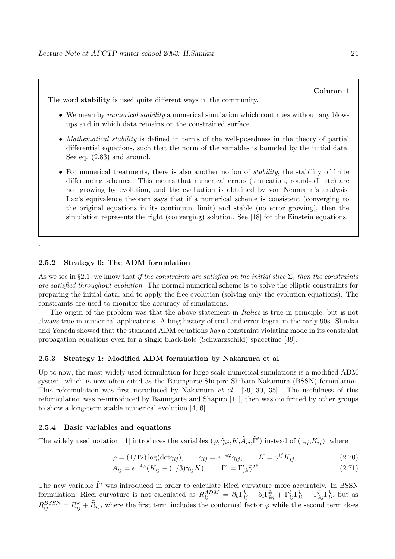The word **stability** is used quite different ways in the community.

- We mean by *numerical stability* a numerical simulation which continues without any blowups and in which data remains on the constrained surface.
- Mathematical stability is defined in terms of the well-posedness in the theory of partial differential equations, such that the norm of the variables is bounded by the initial data. See eq. (2.83) and around.
- For numerical treatments, there is also another notion of *stability*, the stability of finite differencing schemes. This means that numerical errors (truncation, round-off, etc) are not growing by evolution, and the evaluation is obtained by von Neumann's analysis. Lax's equivalence theorem says that if a numerical scheme is consistent (converging to the original equations in its continuum limit) and stable (no error growing), then the simulation represents the right (converging) solution. See [18] for the Einstein equations.

#### **2.5.2 Strategy 0: The ADM formulation**

.

As we see in §2.1, we know that if the constraints are satisfied on the initial slice  $\Sigma$ , then the constraints are satisfied throughout evolution. The normal numerical scheme is to solve the elliptic constraints for preparing the initial data, and to apply the free evolution (solving only the evolution equations). The constraints are used to monitor the accuracy of simulations.

The origin of the problem was that the above statement in *Italics* is true in principle, but is not always true in numerical applications. A long history of trial and error began in the early 90s. Shinkai and Yoneda showed that the standard ADM equations has a constraint violating mode in its constraint propagation equations even for a single black-hole (Schwarzschild) spacetime [39].

#### **2.5.3 Strategy 1: Modified ADM formulation by Nakamura et al**

Up to now, the most widely used formulation for large scale numerical simulations is a modified ADM system, which is now often cited as the Baumgarte-Shapiro-Shibata-Nakamura (BSSN) formulation. This reformulation was first introduced by Nakamura et al. [29, 30, 35]. The usefulness of this reformulation was re-introduced by Baumgarte and Shapiro [11], then was confirmed by other groups to show a long-term stable numerical evolution [4, 6].

#### **2.5.4 Basic variables and equations**

The widely used notation[11] introduces the variables  $(\varphi, \tilde{\gamma}_{ij}, K, \tilde{A}_{ij}, \tilde{\Gamma}^i)$  instead of  $(\gamma_{ij}, K_{ij})$ , where

$$
\varphi = (1/12) \log(\det \gamma_{ij}), \qquad \tilde{\gamma}_{ij} = e^{-4\varphi} \gamma_{ij}, \qquad K = \gamma^{ij} K_{ij}, \tag{2.70}
$$

$$
\tilde{A}_{ij} = e^{-4\varphi} (K_{ij} - (1/3)\gamma_{ij} K), \qquad \tilde{\Gamma}^i = \tilde{\Gamma}^i_{jk} \tilde{\gamma}^{jk}.
$$
\n(2.71)

The new variable  $\tilde{\Gamma}^i$  was introduced in order to calculate Ricci curvature more accurately. In BSSN formulation, Ricci curvature is not calculated as  $R_{ij}^{ADM} = \partial_k \Gamma_{ij}^k - \partial_i \Gamma_{kj}^k + \Gamma_{ij}^l \Gamma_{lk}^k - \Gamma_{kj}^l \Gamma_{li}^k$ , but as  $R_{ij}^{BSSN} = R_{ij}^{\varphi} + \tilde{R}_{ij}$ , where the first term includes the conformal factor  $\varphi$  while the second term does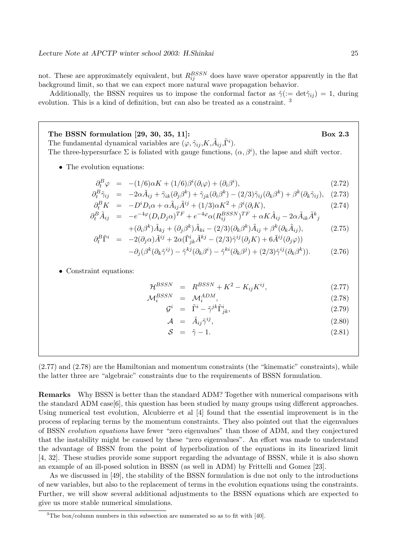not. These are approximately equivalent, but  $R_{ij}^{BSSN}$  does have wave operator apparently in the flat background limit, so that we can expect more natural wave propagation behavior.

Additionally, the BSSN requires us to impose the conformal factor as  $\tilde{\gamma} := \det \tilde{\gamma}_{ij} = 1$ , during evolution. This is a kind of definition, but can also be treated as a constraint. <sup>3</sup>

**The BSSN formulation [29, 30, 35, 11]: Box 2.3** The fundamental dynamical variables are  $(\varphi, \tilde{\gamma}_{ij}, K, \tilde{A}_{ij}, \tilde{\Gamma}^i)$ . The three-hypersurface  $\Sigma$  is foliated with gauge functions,  $(\alpha, \beta^i)$ , the lapse and shift vector.

• The evolution equations:

$$
\partial_t^B \varphi = -(1/6)\alpha K + (1/6)\beta^i(\partial_i \varphi) + (\partial_i \beta^i), \qquad (2.72)
$$

$$
\partial_t^B \tilde{\gamma}_{ij} = -2\alpha \tilde{A}_{ij} + \tilde{\gamma}_{ik} (\partial_j \beta^k) + \tilde{\gamma}_{jk} (\partial_i \beta^k) - (2/3) \tilde{\gamma}_{ij} (\partial_k \beta^k) + \beta^k (\partial_k \tilde{\gamma}_{ij}), \quad (2.73)
$$

$$
\partial_t^B K = -D^i D_i \alpha + \alpha \tilde{A}_{ij} \tilde{A}^{ij} + (1/3) \alpha K^2 + \beta^i (\partial_i K),
$$
\n(2.74)

$$
\partial_t^B \tilde{A}_{ij} = -e^{-4\varphi} (D_i D_j \alpha)^{TF} + e^{-4\varphi} \alpha (R_{ij}^{BSSN})^{TF} + \alpha K \tilde{A}_{ij} - 2\alpha \tilde{A}_{ik} \tilde{A}^k{}_j
$$
\n
$$
+ (2, 2k) \tilde{A}_{ij} + (2, 2k) \tilde{A}_{ij} - (2, 2k) \tilde{A}_{ij} + 2k(2, \tilde{A}_{ij})
$$
\n
$$
(2, 2k) \tilde{A}_{ij} + (2, 2k) \tilde{A}_{ij} - (2, 2k) \tilde{A}_{ij} + 2k(2, \tilde{A}_{ij})
$$

$$
+(\partial_i \beta^k)\tilde{A}_{kj} + (\partial_j \beta^k)\tilde{A}_{ki} - (2/3)(\partial_k \beta^k)\tilde{A}_{ij} + \beta^k(\partial_k \tilde{A}_{ij}),
$$
\n
$$
\partial_t^B \tilde{\Gamma}^i = -2(\partial_j \alpha)\tilde{A}^{ij} + 2\alpha(\tilde{\Gamma}^i_{jk}\tilde{A}^{kj} - (2/3)\tilde{\gamma}^{ij}(\partial_j K) + 6\tilde{A}^{ij}(\partial_j \varphi))
$$
\n(2.75)

$$
-\partial_j(\beta^k(\partial_k\tilde{\gamma}^{ij}) - \tilde{\gamma}^{kj}(\partial_k\beta^i) - \tilde{\gamma}^{ki}(\partial_k\beta^j) + (2/3)\tilde{\gamma}^{ij}(\partial_k\beta^k)).
$$
 (2.76)

• Constraint equations:

$$
\mathcal{H}^{BSSN} = R^{BSSN} + K^2 - K_{ij}K^{ij}, \qquad (2.77)
$$

$$
\mathcal{M}_i^{BSSN} = \mathcal{M}_i^{ADM},\tag{2.78}
$$

$$
\mathcal{G}^i = \tilde{\Gamma}^i - \tilde{\gamma}^{jk} \tilde{\Gamma}^i_{jk}, \qquad (2.79)
$$

$$
\mathcal{A} = \tilde{A}_{ij}\tilde{\gamma}^{ij}, \qquad (2.80)
$$

$$
S = \tilde{\gamma} - 1. \tag{2.81}
$$

(2.77) and (2.78) are the Hamiltonian and momentum constraints (the "kinematic" constraints), while the latter three are "algebraic" constraints due to the requirements of BSSN formulation.

**Remarks** Why BSSN is better than the standard ADM? Together with numerical comparisons with the standard ADM case[6], this question has been studied by many groups using different approaches. Using numerical test evolution, Alcubierre et al [4] found that the essential improvement is in the process of replacing terms by the momentum constraints. They also pointed out that the eigenvalues of BSSN evolution equations have fewer "zero eigenvalues" than those of ADM, and they conjectured that the instability might be caused by these "zero eigenvalues". An effort was made to understand the advantage of BSSN from the point of hyperbolization of the equations in its linearized limit [4, 32]. These studies provide some support regarding the advantage of BSSN, while it is also shown an example of an ill-posed solution in BSSN (as well in ADM) by Frittelli and Gomez [23].

As we discussed in [49], the stability of the BSSN formulation is due not only to the introductions of new variables, but also to the replacement of terms in the evolution equations using the constraints. Further, we will show several additional adjustments to the BSSN equations which are expected to give us more stable numerical simulations.

 $3$ The box/column numbers in this subsection are numerated so as to fit with [40].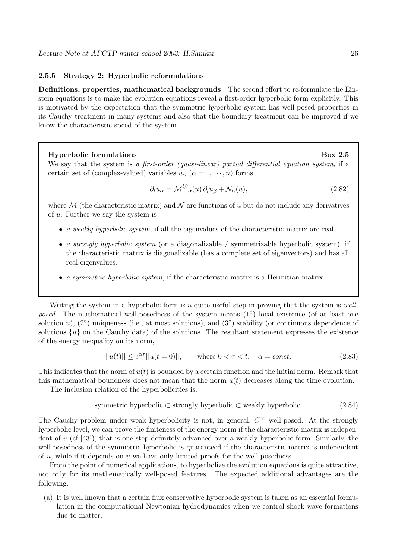#### **2.5.5 Strategy 2: Hyperbolic reformulations**

**Definitions, properties, mathematical backgrounds** The second effort to re-formulate the Einstein equations is to make the evolution equations reveal a first-order hyperbolic form explicitly. This is motivated by the expectation that the symmetric hyperbolic system has well-posed properties in its Cauchy treatment in many systems and also that the boundary treatment can be improved if we know the characteristic speed of the system.

#### **Hyperbolic formulations** Box 2.5

We say that the system is a first-order (quasi-linear) partial differential equation system, if a certain set of (complex-valued) variables  $u_{\alpha}$  ( $\alpha = 1, \dots, n$ ) forms

$$
\partial_t u_\alpha = \mathcal{M}^{l\beta}{}_\alpha(u) \partial_l u_\beta + \mathcal{N}_\alpha(u),\tag{2.82}
$$

where M (the characteristic matrix) and N are functions of u but do not include any derivatives of u. Further we say the system is

- a weakly hyperbolic system, if all the eigenvalues of the characteristic matrix are real.
- a strongly hyperbolic system (or a diagonalizable / symmetrizable hyperbolic system), if the characteristic matrix is diagonalizable (has a complete set of eigenvectors) and has all real eigenvalues.
- a symmetric hyperbolic system, if the characteristic matrix is a Hermitian matrix.

Writing the system in a hyperbolic form is a quite useful step in proving that the system is wellposed. The mathematical well-posedness of the system means  $(1°)$  local existence (of at least one solution u),  $(2°)$  uniqueness (i.e., at most solutions), and  $(3°)$  stability (or continuous dependence of solutions  $\{u\}$  on the Cauchy data) of the solutions. The resultant statement expresses the existence of the energy inequality on its norm,

$$
||u(t)|| \le e^{\alpha \tau} ||u(t=0)||, \qquad \text{where } 0 < \tau < t, \quad \alpha = const. \tag{2.83}
$$

This indicates that the norm of  $u(t)$  is bounded by a certain function and the initial norm. Remark that this mathematical boundness does not mean that the norm  $u(t)$  decreases along the time evolution.

The inclusion relation of the hyperbolicities is,

symmetric hyperbolic 
$$
\subset
$$
 strongly hyperbolic  $\subset$  weakly hyperbolic. (2.84)

The Cauchy problem under weak hyperbolicity is not, in general,  $C^{\infty}$  well-posed. At the strongly hyperbolic level, we can prove the finiteness of the energy norm if the characteristic matrix is independent of u (cf [43]), that is one step definitely advanced over a weakly hyperbolic form. Similarly, the well-posedness of the symmetric hyperbolic is guaranteed if the characteristic matrix is independent of  $u$ , while if it depends on  $u$  we have only limited proofs for the well-posedness.

From the point of numerical applications, to hyperbolize the evolution equations is quite attractive, not only for its mathematically well-posed features. The expected additional advantages are the following.

(a) It is well known that a certain flux conservative hyperbolic system is taken as an essential formulation in the computational Newtonian hydrodynamics when we control shock wave formations due to matter.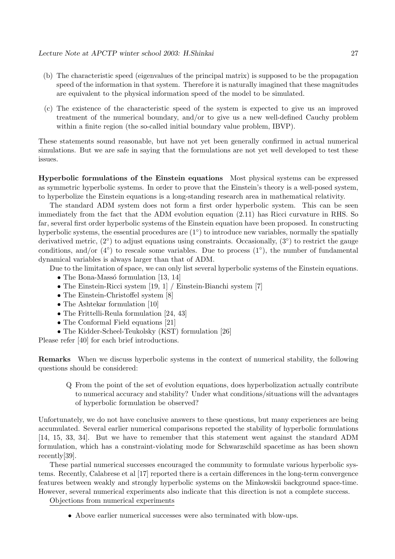- (b) The characteristic speed (eigenvalues of the principal matrix) is supposed to be the propagation speed of the information in that system. Therefore it is naturally imagined that these magnitudes are equivalent to the physical information speed of the model to be simulated.
- (c) The existence of the characteristic speed of the system is expected to give us an improved treatment of the numerical boundary, and/or to give us a new well-defined Cauchy problem within a finite region (the so-called initial boundary value problem, IBVP).

These statements sound reasonable, but have not yet been generally confirmed in actual numerical simulations. But we are safe in saying that the formulations are not yet well developed to test these issues.

**Hyperbolic formulations of the Einstein equations** Most physical systems can be expressed as symmetric hyperbolic systems. In order to prove that the Einstein's theory is a well-posed system, to hyperbolize the Einstein equations is a long-standing research area in mathematical relativity.

The standard ADM system does not form a first order hyperbolic system. This can be seen immediately from the fact that the ADM evolution equation (2.11) has Ricci curvature in RHS. So far, several first order hyperbolic systems of the Einstein equation have been proposed. In constructing hyperbolic systems, the essential procedures are  $(1°)$  to introduce new variables, normally the spatially derivatived metric,  $(2°)$  to adjust equations using constraints. Occasionally,  $(3°)$  to restrict the gauge conditions, and/or  $(4°)$  to rescale some variables. Due to process  $(1°)$ , the number of fundamental dynamical variables is always larger than that of ADM.

Due to the limitation of space, we can only list several hyperbolic systems of the Einstein equations.

- The Bona-Massó formulation  $[13, 14]$
- The Einstein-Ricci system [19, 1] / Einstein-Bianchi system [7]
- The Einstein-Christoffel system [8]
- The Ashtekar formulation [10]
- The Frittelli-Reula formulation [24, 43]
- The Conformal Field equations [21]
- The Kidder-Scheel-Teukolsky (KST) formulation [26]

Please refer [40] for each brief introductions.

**Remarks** When we discuss hyperbolic systems in the context of numerical stability, the following questions should be considered:

Q From the point of the set of evolution equations, does hyperbolization actually contribute to numerical accuracy and stability? Under what conditions/situations will the advantages of hyperbolic formulation be observed?

Unfortunately, we do not have conclusive answers to these questions, but many experiences are being accumulated. Several earlier numerical comparisons reported the stability of hyperbolic formulations [14, 15, 33, 34]. But we have to remember that this statement went against the standard ADM formulation, which has a constraint-violating mode for Schwarzschild spacetime as has been shown recently[39].

These partial numerical successes encouraged the community to formulate various hyperbolic systems. Recently, Calabrese et al [17] reported there is a certain differences in the long-term convergence features between weakly and strongly hyperbolic systems on the Minkowskii background space-time. However, several numerical experiments also indicate that this direction is not a complete success.

Objections from numerical experiments

• Above earlier numerical successes were also terminated with blow-ups.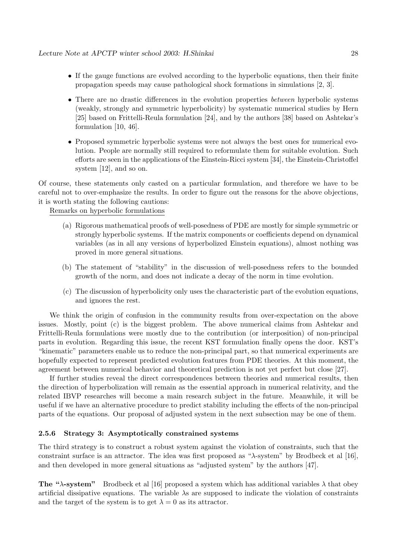- If the gauge functions are evolved according to the hyperbolic equations, then their finite propagation speeds may cause pathological shock formations in simulations [2, 3].
- There are no drastic differences in the evolution properties *between* hyperbolic systems (weakly, strongly and symmetric hyperbolicity) by systematic numerical studies by Hern [25] based on Frittelli-Reula formulation [24], and by the authors [38] based on Ashtekar's formulation [10, 46].
- Proposed symmetric hyperbolic systems were not always the best ones for numerical evolution. People are normally still required to reformulate them for suitable evolution. Such efforts are seen in the applications of the Einstein-Ricci system [34], the Einstein-Christoffel system [12], and so on.

Of course, these statements only casted on a particular formulation, and therefore we have to be careful not to over-emphasize the results. In order to figure out the reasons for the above objections, it is worth stating the following cautions:

Remarks on hyperbolic formulations

- (a) Rigorous mathematical proofs of well-posedness of PDE are mostly for simple symmetric or strongly hyperbolic systems. If the matrix components or coefficients depend on dynamical variables (as in all any versions of hyperbolized Einstein equations), almost nothing was proved in more general situations.
- (b) The statement of "stability" in the discussion of well-posedness refers to the bounded growth of the norm, and does not indicate a decay of the norm in time evolution.
- (c) The discussion of hyperbolicity only uses the characteristic part of the evolution equations, and ignores the rest.

We think the origin of confusion in the community results from over-expectation on the above issues. Mostly, point (c) is the biggest problem. The above numerical claims from Ashtekar and Frittelli-Reula formulations were mostly due to the contribution (or interposition) of non-principal parts in evolution. Regarding this issue, the recent KST formulation finally opens the door. KST's "kinematic" parameters enable us to reduce the non-principal part, so that numerical experiments are hopefully expected to represent predicted evolution features from PDE theories. At this moment, the agreement between numerical behavior and theoretical prediction is not yet perfect but close [27].

If further studies reveal the direct correspondences between theories and numerical results, then the direction of hyperbolization will remain as the essential approach in numerical relativity, and the related IBVP researches will become a main research subject in the future. Meanwhile, it will be useful if we have an alternative procedure to predict stability including the effects of the non-principal parts of the equations. Our proposal of adjusted system in the next subsection may be one of them.

#### **2.5.6 Strategy 3: Asymptotically constrained systems**

The third strategy is to construct a robust system against the violation of constraints, such that the constraint surface is an attractor. The idea was first proposed as "λ-system" by Brodbeck et al [16], and then developed in more general situations as "adjusted system" by the authors [47].

**The "** $\lambda$ **-system" Brodbeck et al [16] proposed a system which has additional variables**  $\lambda$  **that obey** artificial dissipative equations. The variable  $\lambda$ s are supposed to indicate the violation of constraints and the target of the system is to get  $\lambda = 0$  as its attractor.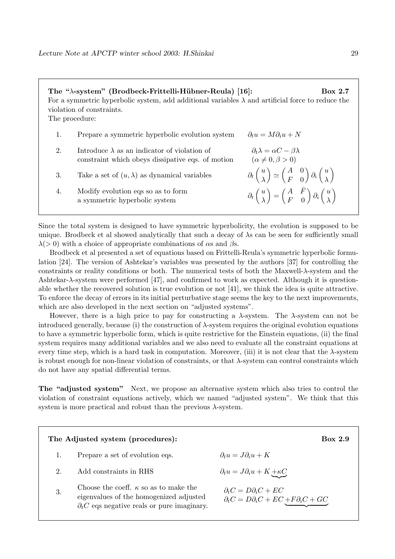| The "λ-system" (Brodbeck-Frittelli-Hübner-Reula) [16]:<br>Box 2.7<br>For a symmetric hyperbolic system, add additional variables $\lambda$ and artificial force to reduce the<br>violation of constraints.<br>The procedure: |                                                                                                          |                                                                                                                                                                   |  |  |
|------------------------------------------------------------------------------------------------------------------------------------------------------------------------------------------------------------------------------|----------------------------------------------------------------------------------------------------------|-------------------------------------------------------------------------------------------------------------------------------------------------------------------|--|--|
| 1.                                                                                                                                                                                                                           | Prepare a symmetric hyperbolic evolution system                                                          | $\partial_t u = M \partial_i u + N$                                                                                                                               |  |  |
| 2.                                                                                                                                                                                                                           | Introduce $\lambda$ as an indicator of violation of<br>constraint which obeys dissipative eqs. of motion | $\partial_t \lambda = \alpha C - \beta \lambda$<br>$(\alpha \neq 0, \beta > 0)$                                                                                   |  |  |
| 3.                                                                                                                                                                                                                           | Take a set of $(u, \lambda)$ as dynamical variables                                                      | $\partial_t \begin{pmatrix} u \\ \lambda \end{pmatrix} \simeq \begin{pmatrix} A & 0 \\ F & 0 \end{pmatrix} \partial_i \begin{pmatrix} u \\ \lambda \end{pmatrix}$ |  |  |
| 4.                                                                                                                                                                                                                           | Modify evolution eqs so as to form<br>a symmetric hyperbolic system                                      | $\partial_t \begin{pmatrix} u \\ \lambda \end{pmatrix} = \begin{pmatrix} A & F \\ F & 0 \end{pmatrix} \partial_i \begin{pmatrix} u \\ \lambda \end{pmatrix}$      |  |  |

Since the total system is designed to have symmetric hyperbolicity, the evolution is supposed to be unique. Brodbeck et al showed analytically that such a decay of  $\lambda$ s can be seen for sufficiently small  $\lambda$ (> 0) with a choice of appropriate combinations of  $\alpha$ s and  $\beta$ s.

Brodbeck et al presented a set of equations based on Frittelli-Reula's symmetric hyperbolic formulation [24]. The version of Ashtekar's variables was presented by the authors [37] for controlling the constraints or reality conditions or both. The numerical tests of both the Maxwell- $\lambda$ -system and the Ashtekar-λ-system were performed [47], and confirmed to work as expected. Although it is questionable whether the recovered solution is true evolution or not [41], we think the idea is quite attractive. To enforce the decay of errors in its initial perturbative stage seems the key to the next improvements, which are also developed in the next section on "adjusted systems".

However, there is a high price to pay for constructing a  $\lambda$ -system. The  $\lambda$ -system can not be introduced generally, because (i) the construction of  $\lambda$ -system requires the original evolution equations to have a symmetric hyperbolic form, which is quite restrictive for the Einstein equations, (ii) the final system requires many additional variables and we also need to evaluate all the constraint equations at every time step, which is a hard task in computation. Moreover, (iii) it is not clear that the λ-system is robust enough for non-linear violation of constraints, or that  $\lambda$ -system can control constraints which do not have any spatial differential terms.

**The "adjusted system"** Next, we propose an alternative system which also tries to control the violation of constraint equations actively, which we named "adjusted system". We think that this system is more practical and robust than the previous  $\lambda$ -system.

|    | The Adjusted system (procedures):                                                                                                               | <b>Box 2.9</b>                                                                                        |
|----|-------------------------------------------------------------------------------------------------------------------------------------------------|-------------------------------------------------------------------------------------------------------|
|    | Prepare a set of evolution eqs.                                                                                                                 | $\partial_t u = J \partial_i u + K$                                                                   |
| 2. | Add constraints in RHS                                                                                                                          | $\partial_t u = J \partial_i u + K \pm \kappa \underline{C}$                                          |
| 3. | Choose the coeff. $\kappa$ so as to make the<br>eigenvalues of the homogenized adjusted<br>$\partial_t C$ eqs negative reals or pure imaginary. | $\partial_t C = D \partial_i C + E C$<br>$\partial_t C = D \partial_i C + E C + F \partial_i C + G C$ |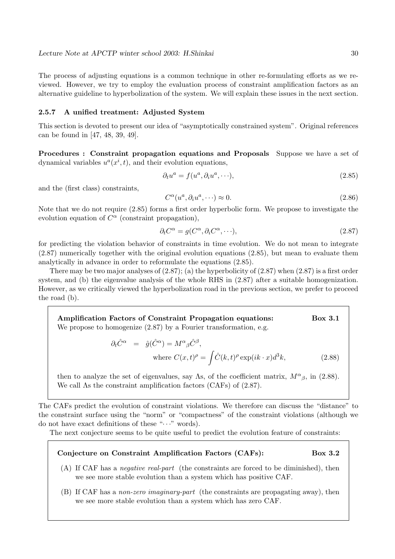The process of adjusting equations is a common technique in other re-formulating efforts as we reviewed. However, we try to employ the evaluation process of constraint amplification factors as an alternative guideline to hyperbolization of the system. We will explain these issues in the next section.

#### **2.5.7 A unified treatment: Adjusted System**

This section is devoted to present our idea of "asymptotically constrained system". Original references can be found in [47, 48, 39, 49].

**Procedures : Constraint propagation equations and Proposals** Suppose we have a set of dynamical variables  $u^a(x^i, t)$ , and their evolution equations,

$$
\partial_t u^a = f(u^a, \partial_i u^a, \cdots), \tag{2.85}
$$

and the (first class) constraints,

$$
C^{\alpha}(u^a, \partial_i u^a, \cdots) \approx 0. \tag{2.86}
$$

Note that we do not require (2.85) forms a first order hyperbolic form. We propose to investigate the evolution equation of  $C^{\alpha}$  (constraint propagation),

$$
\partial_t C^{\alpha} = g(C^{\alpha}, \partial_i C^{\alpha}, \cdots), \qquad (2.87)
$$

for predicting the violation behavior of constraints in time evolution. We do not mean to integrate (2.87) numerically together with the original evolution equations (2.85), but mean to evaluate them analytically in advance in order to reformulate the equations (2.85).

There may be two major analyses of  $(2.87)$ ; (a) the hyperbolicity of  $(2.87)$  when  $(2.87)$  is a first order system, and (b) the eigenvalue analysis of the whole RHS in (2.87) after a suitable homogenization. However, as we critically viewed the hyperbolization road in the previous section, we prefer to proceed the road (b).

**Amplification Factors of Constraint Propagation equations: Box 3.1** We propose to homogenize (2.87) by a Fourier transformation, e.g.

$$
\partial_t \hat{C}^{\alpha} = \hat{g}(\hat{C}^{\alpha}) = M^{\alpha}{}_{\beta} \hat{C}^{\beta},
$$
  
where  $C(x, t)^{\rho} = \int \hat{C}(k, t)^{\rho} \exp(ik \cdot x) d^3k,$  (2.88)

then to analyze the set of eigenvalues, say  $\Lambda$ s, of the coefficient matrix,  $M^{\alpha}{}_{\beta}$ , in (2.88). We call Λs the constraint amplification factors (CAFs) of (2.87).

The CAFs predict the evolution of constraint violations. We therefore can discuss the "distance" to the constraint surface using the "norm" or "compactness" of the constraint violations (although we do not have exact definitions of these " $\cdots$ " words).

The next conjecture seems to be quite useful to predict the evolution feature of constraints:

## **Conjecture on Constraint Amplification Factors (CAFs): Box 3.2**

- (A) If CAF has a negative real-part (the constraints are forced to be diminished), then we see more stable evolution than a system which has positive CAF.
- (B) If CAF has a non-zero imaginary-part (the constraints are propagating away), then we see more stable evolution than a system which has zero CAF.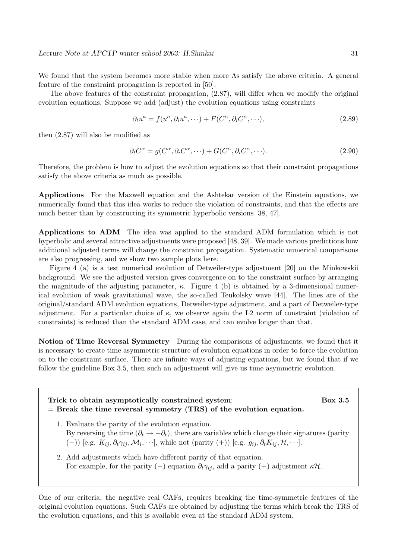We found that the system becomes more stable when more Λs satisfy the above criteria. A general feature of the constraint propagation is reported in [50].

The above features of the constraint propagation, (2.87), will differ when we modify the original evolution equations. Suppose we add (adjust) the evolution equations using constraints

$$
\partial_t u^a = f(u^a, \partial_i u^a, \cdots) + F(C^{\alpha}, \partial_i C^{\alpha}, \cdots), \qquad (2.89)
$$

then (2.87) will also be modified as

$$
\partial_t C^{\alpha} = g(C^{\alpha}, \partial_i C^{\alpha}, \cdots) + G(C^{\alpha}, \partial_i C^{\alpha}, \cdots). \tag{2.90}
$$

Therefore, the problem is how to adjust the evolution equations so that their constraint propagations satisfy the above criteria as much as possible.

**Applications** For the Maxwell equation and the Ashtekar version of the Einstein equations, we numerically found that this idea works to reduce the violation of constraints, and that the effects are much better than by constructing its symmetric hyperbolic versions [38, 47].

**Applications to ADM** The idea was applied to the standard ADM formulation which is not hyperbolic and several attractive adjustments were proposed [48, 39]. We made various predictions how additional adjusted terms will change the constraint propagation. Systematic numerical comparisons are also progressing, and we show two sample plots here.

Figure 4 (a) is a test numerical evolution of Detweiler-type adjustment [20] on the Minkowskii background. We see the adjusted version gives convergence on to the constraint surface by arranging the magnitude of the adjusting parameter,  $\kappa$ . Figure 4 (b) is obtained by a 3-dimensional numerical evolution of weak gravitational wave, the so-called Teukolsky wave [44]. The lines are of the original/standard ADM evolution equations, Detweiler-type adjustment, and a part of Detweiler-type adjustment. For a particular choice of  $\kappa$ , we observe again the L2 norm of constraint (violation of constraints) is reduced than the standard ADM case, and can evolve longer than that.

**Notion of Time Reversal Symmetry** During the comparisons of adjustments, we found that it is necessary to create time asymmetric structure of evolution equations in order to force the evolution on to the constraint surface. There are infinite ways of adjusting equations, but we found that if we follow the guideline Box 3.5, then such an adjustment will give us time asymmetric evolution.

| Trick to obtain asymptotically constrained system:<br>$=$ Break the time reversal symmetry (TRS) of the evolution equation.                                                                                                                                                                                                          | <b>Box 3.5</b> |
|--------------------------------------------------------------------------------------------------------------------------------------------------------------------------------------------------------------------------------------------------------------------------------------------------------------------------------------|----------------|
| 1. Evaluate the parity of the evolution equation.<br>By reversing the time $(\partial_t \to -\partial_t)$ , there are variables which change their signatures (parity<br>$(-))$ [e.g. $K_{ij}, \partial_t \gamma_{ij}, \mathcal{M}_i, \cdots$ ], while not (parity $(+)$ ) [e.g. $g_{ij}, \partial_t K_{ij}, \mathcal{H}, \cdots$ ]. |                |
| 2. Add adjustments which have different parity of that equation.<br>For example, for the parity (-) equation $\partial_t \gamma_{ij}$ , add a parity (+) adjustment $\kappa \mathcal{H}$ .                                                                                                                                           |                |

One of our criteria, the negative real CAFs, requires breaking the time-symmetric features of the original evolution equations. Such CAFs are obtained by adjusting the terms which break the TRS of the evolution equations, and this is available even at the standard ADM system.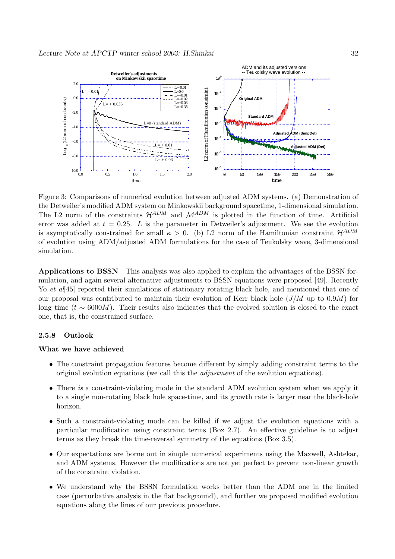![](_page_31_Figure_1.jpeg)

Figure 3: Comparisons of numerical evolution between adjusted ADM systems. (a) Demonstration of the Detweiler's modified ADM system on Minkowskii background spacetime, 1-dimensional simulation. The L2 norm of the constraints  $\mathcal{H}^{ADM}$  and  $\mathcal{M}^{ADM}$  is plotted in the function of time. Artificial error was added at  $t = 0.25$ . L is the parameter in Detweiler's adjustment. We see the evolution is asymptotically constrained for small  $\kappa > 0$ . (b) L2 norm of the Hamiltonian constraint  $\mathcal{H}^{ADM}$ of evolution using ADM/adjusted ADM formulations for the case of Teukolsky wave, 3-dimensional simulation.

**Applications to BSSN** This analysis was also applied to explain the advantages of the BSSN formulation, and again several alternative adjustments to BSSN equations were proposed [49]. Recently Yo et al. [45] reported their simulations of stationary rotating black hole, and mentioned that one of our proposal was contributed to maintain their evolution of Kerr black hole  $(J/M$  up to 0.9M) for long time ( $t \sim 6000M$ ). Their results also indicates that the evolved solution is closed to the exact one, that is, the constrained surface.

#### **2.5.8 Outlook**

#### **What we have achieved**

- The constraint propagation features become different by simply adding constraint terms to the original evolution equations (we call this the adjustment of the evolution equations).
- There is a constraint-violating mode in the standard ADM evolution system when we apply it to a single non-rotating black hole space-time, and its growth rate is larger near the black-hole horizon.
- Such a constraint-violating mode can be killed if we adjust the evolution equations with a particular modification using constraint terms (Box 2.7). An effective guideline is to adjust terms as they break the time-reversal symmetry of the equations (Box 3.5).
- Our expectations are borne out in simple numerical experiments using the Maxwell, Ashtekar, and ADM systems. However the modifications are not yet perfect to prevent non-linear growth of the constraint violation.
- We understand why the BSSN formulation works better than the ADM one in the limited case (perturbative analysis in the flat background), and further we proposed modified evolution equations along the lines of our previous procedure.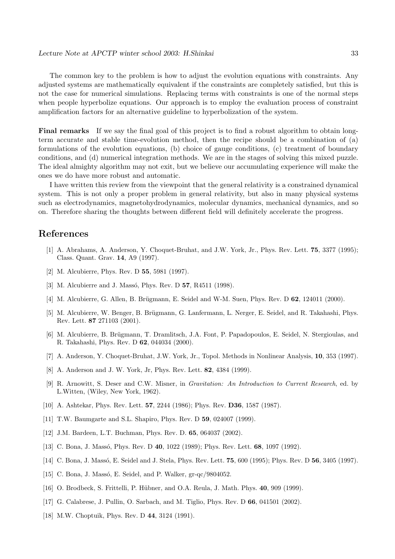The common key to the problem is how to adjust the evolution equations with constraints. Any adjusted systems are mathematically equivalent if the constraints are completely satisfied, but this is not the case for numerical simulations. Replacing terms with constraints is one of the normal steps when people hyperbolize equations. Our approach is to employ the evaluation process of constraint amplification factors for an alternative guideline to hyperbolization of the system.

**Final remarks** If we say the final goal of this project is to find a robust algorithm to obtain longterm accurate and stable time-evolution method, then the recipe should be a combination of (a) formulations of the evolution equations, (b) choice of gauge conditions, (c) treatment of boundary conditions, and (d) numerical integration methods. We are in the stages of solving this mixed puzzle. The ideal almighty algorithm may not exit, but we believe our accumulating experience will make the ones we do have more robust and automatic.

I have written this review from the viewpoint that the general relativity is a constrained dynamical system. This is not only a proper problem in general relativity, but also in many physical systems such as electrodynamics, magnetohydrodynamics, molecular dynamics, mechanical dynamics, and so on. Therefore sharing the thoughts between different field will definitely accelerate the progress.

## **References**

- [1] A. Abrahams, A. Anderson, Y. Choquet-Bruhat, and J.W. York, Jr., Phys. Rev. Lett. **75**, 3377 (1995); Class. Quant. Grav. **14**, A9 (1997).
- [2] M. Alcubierre, Phys. Rev. D **55**, 5981 (1997).
- [3] M. Alcubierre and J. Massó, Phys. Rev. D **57**, R4511 (1998).
- [4] M. Alcubierre, G. Allen, B. Brügmann, E. Seidel and W-M. Suen, Phys. Rev. D **62**, 124011 (2000).
- [5] M. Alcubierre, W. Benger, B. Brügmann, G. Lanfermann, L. Nerger, E. Seidel, and R. Takahashi, Phys. Rev. Lett. **87** 271103 (2001).
- [6] M. Alcubierre, B. Brügmann, T. Dramlitsch, J.A. Font, P. Papadopoulos, E. Seidel, N. Stergioulas, and R. Takahashi, Phys. Rev. D **62**, 044034 (2000).
- [7] A. Anderson, Y. Choquet-Bruhat, J.W. York, Jr., Topol. Methods in Nonlinear Analysis, **10**, 353 (1997).
- [8] A. Anderson and J. W. York, Jr, Phys. Rev. Lett. **82**, 4384 (1999).
- [9] R. Arnowitt, S. Deser and C.W. Misner, in Gravitation: An Introduction to Current Research, ed. by L.Witten, (Wiley, New York, 1962).
- [10] A. Ashtekar, Phys. Rev. Lett. **57**, 2244 (1986); Phys. Rev. **D36**, 1587 (1987).
- [11] T.W. Baumgarte and S.L. Shapiro, Phys. Rev. D **59**, 024007 (1999).
- [12] J.M. Bardeen, L.T. Buchman, Phys. Rev. D. **65**, 064037 (2002).
- [13] C. Bona, J. Massó, Phys. Rev. D **40**, 1022 (1989); Phys. Rev. Lett. **68**, 1097 (1992).
- [14] C. Bona, J. Massó, E. Seidel and J. Stela, Phys. Rev. Lett. **75**, 600 (1995); Phys. Rev. D **56**, 3405 (1997).
- [15] C. Bona, J. Massó, E. Seidel, and P. Walker, gr-qc/9804052.
- [16] O. Brodbeck, S. Frittelli, P. H¨ubner, and O.A. Reula, J. Math. Phys. **40**, 909 (1999).
- [17] G. Calabrese, J. Pullin, O. Sarbach, and M. Tiglio, Phys. Rev. D **66**, 041501 (2002).
- [18] M.W. Choptuik, Phys. Rev. D **44**, 3124 (1991).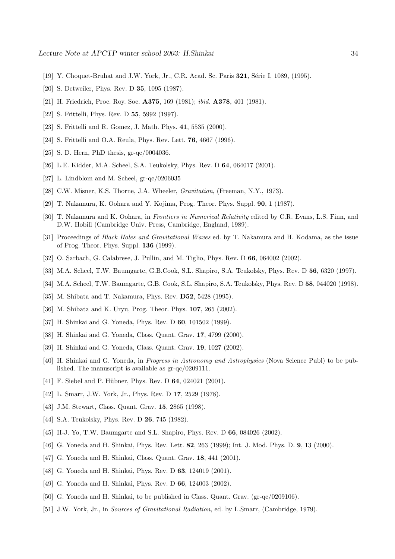- [19] Y. Choquet-Bruhat and J.W. York, Jr., C.R. Acad. Sc. Paris **321**, Série I, 1089, (1995).
- [20] S. Detweiler, Phys. Rev. D **35**, 1095 (1987).
- [21] H. Friedrich, Proc. Roy. Soc. **A375**, 169 (1981); ibid. **A378**, 401 (1981).
- [22] S. Frittelli, Phys. Rev. D **55**, 5992 (1997).
- [23] S. Frittelli and R. Gomez, J. Math. Phys. **41**, 5535 (2000).
- [24] S. Frittelli and O.A. Reula, Phys. Rev. Lett. **76**, 4667 (1996).
- [25] S. D. Hern, PhD thesis, gr-qc/0004036.
- [26] L.E. Kidder, M.A. Scheel, S.A. Teukolsky, Phys. Rev. D **64**, 064017 (2001).
- [27] L. Lindblom and M. Scheel, gr-qc/0206035
- [28] C.W. Misner, K.S. Thorne, J.A. Wheeler, *Gravitation*, (Freeman, N.Y., 1973).
- [29] T. Nakamura, K. Oohara and Y. Kojima, Prog. Theor. Phys. Suppl. **90**, 1 (1987).
- [30] T. Nakamura and K. Oohara, in Frontiers in Numerical Relativity edited by C.R. Evans, L.S. Finn, and D.W. Hobill (Cambridge Univ. Press, Cambridge, England, 1989).
- [31] Proceedings of Black Holes and Gravitational Waves ed. by T. Nakamura and H. Kodama, as the issue of Prog. Theor. Phys. Suppl. **136** (1999).
- [32] O. Sarbach, G. Calabrese, J. Pullin, and M. Tiglio, Phys. Rev. D **66**, 064002 (2002).
- [33] M.A. Scheel, T.W. Baumgarte, G.B.Cook, S.L. Shapiro, S.A. Teukolsky, Phys. Rev. D **56**, 6320 (1997).
- [34] M.A. Scheel, T.W. Baumgarte, G.B. Cook, S.L. Shapiro, S.A. Teukolsky, Phys. Rev. D **58**, 044020 (1998).
- [35] M. Shibata and T. Nakamura, Phys. Rev. **D52**, 5428 (1995).
- [36] M. Shibata and K. Uryu, Prog. Theor. Phys. **107**, 265 (2002).
- [37] H. Shinkai and G. Yoneda, Phys. Rev. D **60**, 101502 (1999).
- [38] H. Shinkai and G. Yoneda, Class. Quant. Grav. **17**, 4799 (2000).
- [39] H. Shinkai and G. Yoneda, Class. Quant. Grav. **19**, 1027 (2002).
- [40] H. Shinkai and G. Yoneda, in Progress in Astronomy and Astrophysics (Nova Science Publ) to be published. The manuscript is available as gr-qc/0209111.
- [41] F. Siebel and P. Hübner, Phys. Rev. D **64**, 024021 (2001).
- [42] L. Smarr, J.W. York, Jr., Phys. Rev. D **17**, 2529 (1978).
- [43] J.M. Stewart, Class. Quant. Grav. **15**, 2865 (1998).
- [44] S.A. Teukolsky, Phys. Rev. D **26**, 745 (1982).
- [45] H-J. Yo, T.W. Baumgarte and S.L. Shapiro, Phys. Rev. D **66**, 084026 (2002).
- [46] G. Yoneda and H. Shinkai, Phys. Rev. Lett. **82**, 263 (1999); Int. J. Mod. Phys. D. **9**, 13 (2000).
- [47] G. Yoneda and H. Shinkai, Class. Quant. Grav. **18**, 441 (2001).
- [48] G. Yoneda and H. Shinkai, Phys. Rev. D **63**, 124019 (2001).
- [49] G. Yoneda and H. Shinkai, Phys. Rev. D **66**, 124003 (2002).
- [50] G. Yoneda and H. Shinkai, to be published in Class. Quant. Grav. (gr-qc/0209106).
- [51] J.W. York, Jr., in Sources of Gravitational Radiation, ed. by L.Smarr, (Cambridge, 1979).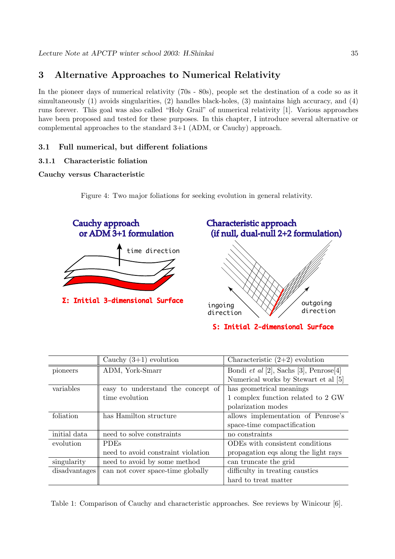# **3 Alternative Approaches to Numerical Relativity**

In the pioneer days of numerical relativity (70s - 80s), people set the destination of a code so as it simultaneously (1) avoids singularities, (2) handles black-holes, (3) maintains high accuracy, and (4) runs forever. This goal was also called "Holy Grail" of numerical relativity [1]. Various approaches have been proposed and tested for these purposes. In this chapter, I introduce several alternative or complemental approaches to the standard 3+1 (ADM, or Cauchy) approach.

## **3.1 Full numerical, but different foliations**

## **3.1.1 Characteristic foliation**

## **Cauchy versus Characteristic**

Figure 4: Two major foliations for seeking evolution in general relativity.

![](_page_34_Figure_7.jpeg)

S: Initial 2-dimensional Surface

|               | Cauchy $(3+1)$ evolution           | Characteristic $(2+2)$ evolution       |
|---------------|------------------------------------|----------------------------------------|
| pioneers      | ADM, York-Smarr                    | Bondi et al [2], Sachs [3], Penrose[4] |
|               |                                    | Numerical works by Stewart et al [5]   |
| variables     | easy to understand the concept of  | has geometrical meanings               |
|               | time evolution                     | 1 complex function related to 2 GW     |
|               |                                    | polarization modes                     |
| foliation     | has Hamilton structure             | allows implementation of Penrose's     |
|               |                                    | space-time compactification            |
| initial data  | need to solve constraints          | no constraints                         |
| evolution     | <b>PDEs</b>                        | ODEs with consistent conditions        |
|               | need to avoid constraint violation | propagation eqs along the light rays   |
| singularity   | need to avoid by some method       | can truncate the grid                  |
| disadvantages | can not cover space-time globally  | difficulty in treating caustics        |
|               |                                    | hard to treat matter                   |

Table 1: Comparison of Cauchy and characteristic approaches. See reviews by Winicour [6].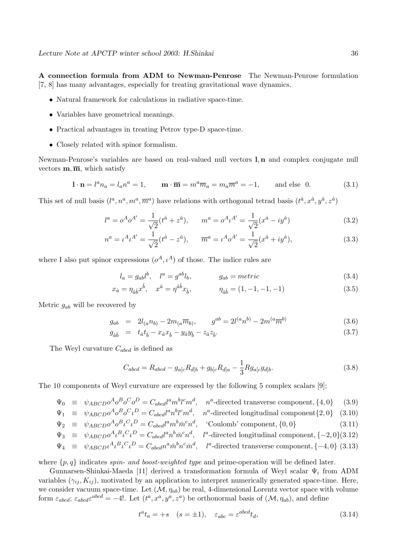**A connection formula from ADM to Newman-Penrose** The Newman-Penrose formulation [7, 8] has many advantages, especially for treating gravitational wave dynamics.

- Natural framework for calculations in radiative space-time.
- Variables have geometrical meanings.
- Practical advantages in treating Petrov type-D space-time.
- Closely related with spinor formalism.

Newman-Penrose's variables are based on real-valued null vectors **l**, **n** and complex conjugate null vectors  $\mathbf{m}, \overline{\mathbf{m}}$ , which satisfy

$$
\mathbf{l} \cdot \mathbf{n} = l^a n_a = l_a n^a = 1, \qquad \mathbf{m} \cdot \overline{\mathbf{m}} = m^a \overline{m}_a = m_a \overline{m}^a = -1, \qquad \text{and else } 0. \tag{3.1}
$$

This set of null basis  $(l^a, n^a, m^a, \overline{m}^a)$  have relations with orthogonal tetrad basis  $(t^{\hat{a}}, x^{\hat{a}}, y^{\hat{a}}, z^{\hat{a}})$ 

$$
l^{a} = o^{A}o^{A'} = \frac{1}{\sqrt{2}}(t^{\hat{a}} + z^{\hat{a}}), \qquad m^{a} = o^{A}t^{A'} = \frac{1}{\sqrt{2}}(x^{\hat{a}} - iy^{\hat{a}})
$$
(3.2)

$$
n^{a} = \iota^{A} \iota^{A'} = \frac{1}{\sqrt{2}} (t^{\hat{a}} - z^{\hat{a}}), \qquad \overline{m}^{a} = \iota^{A} o^{A'} = \frac{1}{\sqrt{2}} (x^{\hat{a}} + iy^{\hat{a}}), \tag{3.3}
$$

where I also put spinor expressions  $(o^A, \iota^A)$  of those. The indice rules are

$$
l_a = g_{ab}l^b, \quad l^a = g^{ab}l_b, \qquad g_{ab} = metric \qquad (3.4)
$$

$$
x_{\hat{a}} = \eta_{\hat{a}\hat{b}} x^{\hat{b}}, \quad x^{\hat{a}} = \eta^{\hat{a}\hat{b}} x_{\hat{b}}, \qquad \eta_{\hat{a}\hat{b}} = (1, -1, -1, -1)
$$
\n(3.5)

Metric  $g_{ab}$  will be recovered by

$$
g_{ab} = 2l_{(a}n_{b)} - 2m_{(a}\overline{m}_{b)}, \qquad g^{ab} = 2l^{(a}n^{b)} - 2m^{(a}\overline{m}^{b)}
$$
(3.6)

$$
g_{\hat{a}\hat{b}} = t_{\hat{a}}t_{\hat{b}} - x_{\hat{a}}x_{\hat{b}} - y_{\hat{a}}y_{\hat{b}} - z_{\hat{a}}z_{\hat{b}}.\tag{3.7}
$$

The Weyl curvature  $C_{abcd}$  is defined as

$$
C_{abcd} = R_{abcd} - g_{a[c}R_{d]b} + g_{b[c}R_{d]a} - \frac{1}{3}Rg_{a[c}g_{d]b}.
$$
 (3.8)

The 10 components of Weyl curvature are expressed by the following 5 complex scalars [9];

$$
\Psi_0 \equiv \psi_{ABCD} \sigma^A \sigma^B \sigma^C \sigma^D = C_{abcd} l^a m^b l^c m^d, \quad n^a
$$
-directed transverse component,  $\{4, 0\}$  (3.9)

$$
\Psi_1 \equiv \psi_{ABCD} \sigma^A \sigma^B \sigma^C \iota^D = C_{abcd} l^a n^b l^c m^d, \quad n^a
$$
-directed longitudinal component $\{2, 0\}$  (3.10)

$$
\Psi_2 \equiv \psi_{ABCD} \sigma^A \sigma^B \iota^C \iota^D = C_{abcd} l^a m^b \bar{m}^c n^d, \quad \text{Coulomb' component, } \{0, 0\} \tag{3.11}
$$

$$
\Psi_3 \equiv \psi_{ABCD} \sigma^A \iota^B \iota^C \iota^D = C_{abcd} l^a n^b \bar{m}^c n^d, \quad l^a
$$
-directed longitudinal component,  $\{-2, 0\}(3.12)$ 

$$
\Psi_4 \equiv \psi_{ABCD} \iota^A \iota^B \iota^C \iota^D = C_{abcd} n^a \bar{m}^b n^c \bar{m}^d, \quad l^a
$$
-directed transverse component, {-4, 0} (3.13)

where  $\{p, q\}$  indicates *spin- and boost-weighted type* and prime-operation will be defined later.

Gunnarsen-Shinkai-Maeda [11] derived a transformation formula of Weyl scalar  $\Psi_i$  from ADM variables  $(\gamma_{ij}, K_{ij})$ , motivated by an application to interpret numerically generated space-time. Here, we consider vacuum space-time. Let  $(M, \eta_{ab})$  be real, 4-dimensional Lorentz vector space with volume form  $\varepsilon_{abcd}$ ;  $\varepsilon_{abcd}\varepsilon^{abcd} = -4!$ . Let  $(t^a, x^a, y^a, z^a)$  be orthonormal basis of  $(\mathcal{M}, \eta_{ab})$ , and define

$$
t^a t_a = +s \quad (s = \pm 1), \quad \varepsilon_{abc} = \varepsilon^{abcd} t_d,\tag{3.14}
$$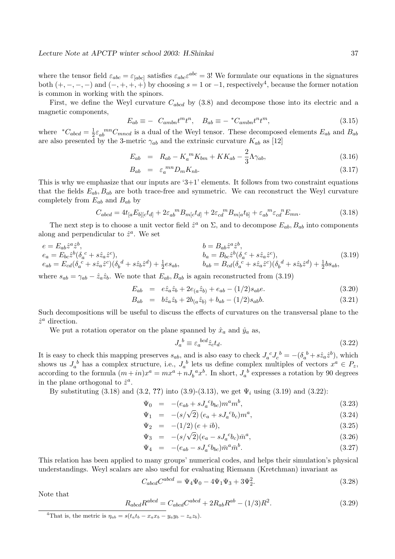where the tensor field  $\varepsilon_{abc} = \varepsilon_{[abc]}$  satisfies  $\varepsilon_{abc}\varepsilon^{abc} = 3!$  We formulate our equations in the signatures both  $(+, -, -, -)$  and  $(-, +, +, +)$  by choosing  $s = 1$  or  $-1$ , respectively<sup>4</sup>, because the former notation is common in working with the spinors.

First, we define the Weyl curvature  $C_{abcd}$  by (3.8) and decompose those into its electric and a magnetic components,

$$
E_{ab} \equiv - C_{ambn} t^m t^n, \quad B_{ab} \equiv -{}^* C_{ambn} t^n t^m, \tag{3.15}
$$

where  $C_{abcd} = \frac{1}{2} \varepsilon_{ab}^{mn} C_{mncd}$  is a dual of the Weyl tensor. These decomposed elements  $E_{ab}$  and  $B_{ab}$ are also presented by the 3-metric  $\gamma_{ab}$  and the extrinsic curvature  $K_{ab}$  as [12]

$$
E_{ab} = R_{ab} - K_a{}^m K_{bm} + KK_{ab} - \frac{2}{3} \Lambda \gamma_{ab}, \tag{3.16}
$$

$$
B_{ab} = \varepsilon_a^{mn} D_m K_{nb}.
$$
\n(3.17)

This is why we emphasize that our inputs are  $3+1$ ' elements. It follows from two constraint equations that the fields  $E_{ab}$ ,  $B_{ab}$  are both trace-free and symmetric. We can reconstruct the Weyl curvature completely from  $E_{ab}$  and  $B_{ab}$  by

$$
C_{abcd} = 4t_{[a}E_{b][c}t_{d]} + 2\varepsilon_{ab}{}^{m}B_{m[c}t_{d]} + 2\varepsilon_{cd}{}^{m}B_{m[a}t_{b]} + \varepsilon_{ab}{}^{m}\varepsilon_{cd}{}^{n}E_{mn}.
$$
\n(3.18)

The next step is to choose a unit vector field  $\hat{z}^a$  on  $\Sigma$ , and to decompose  $E_{ab}$ ,  $B_{ab}$  into components along and perpendicular to  $\hat{z}^a$ . We set

$$
e = E_{ab}\hat{z}^{a}\hat{z}^{b},
$$
  
\n
$$
e_{a} = E_{bc}\hat{z}^{b}(\delta_{a}^{c} + s\hat{z}_{a}\hat{z}^{c}),
$$
  
\n
$$
e_{ab} = E_{cd}(\delta_{a}^{c} + s\hat{z}_{a}\hat{z}^{c})(\delta_{b}^{d} + s\hat{z}_{b}\hat{z}^{d}) + \frac{1}{2}es_{ab},
$$
  
\n
$$
b = B_{ab}\hat{z}^{a}\hat{z}^{b},
$$
  
\n
$$
b_{a} = B_{bc}\hat{z}^{b}(\delta_{a}^{c} + s\hat{z}_{a}\hat{z}^{c}),
$$
  
\n
$$
b_{ab} = B_{cd}(\delta_{a}^{c} + s\hat{z}_{a}\hat{z}^{c})(\delta_{b}^{d} + s\hat{z}_{b}\hat{z}^{d}) + \frac{1}{2}bs_{ab},
$$
  
\n(3.19)

where  $s_{ab} = \gamma_{ab} - \hat{z}_a \hat{z}_b$ . We note that  $E_{ab}$ ,  $B_{ab}$  is again reconstructed from (3.19)

$$
E_{ab} = e\hat{z}_a\hat{z}_b + 2e_{(a}\hat{z}_b) + e_{ab} - (1/2)s_{ab}e.
$$
\n(3.20)

$$
B_{ab} = b\hat{z}_a \hat{z}_b + 2b_{(a} \hat{z}_b) + b_{ab} - (1/2)s_{ab}b.
$$
 (3.21)

Such decompositions will be useful to discuss the effects of curvatures on the transversal plane to the  $\hat{z}^a$  direction.

We put a rotation operator on the plane spanned by  $\hat{x}_a$  and  $\hat{y}_a$  as,

$$
J_a{}^b \equiv \varepsilon_a{}^{bcd} \hat{z}_c t_d. \tag{3.22}
$$

It is easy to check this mapping preserves  $s_{ab}$ , and is also easy to check  $J_a{}^c J_c{}^b = -(\delta_a{}^b + s\hat{z}_a\hat{z}^b)$ , which shows us  $J_a^b$  has a complex structure, i.e.,  $J_a^b$  lets us define complex multiples of vectors  $x^a \in P_z$ , according to the formula  $(m + in)x^a = mx^a + nJ_b^a x^b$ . In short,  $J_a^b$  expresses a rotation by 90 degrees in the plane orthogonal to  $\hat{z}^a$ .

By substituting  $(3.18)$  and  $(3.2, ?$ ?) into  $(3.9)$ - $(3.13)$ , we get  $\Psi_i$  using  $(3.19)$  and  $(3.22)$ :

$$
\Psi_0 = -(e_{ab} + sJ_a^{\ c}b_{bc})m^a m^b, \qquad (3.23)
$$

$$
\Psi_1 = -(s/\sqrt{2}) (e_a + sJ_a{}^c b_c) m^a,
$$
\n(3.24)

$$
\Psi_2 = -(1/2)(e+ib), \tag{3.25}
$$

$$
\Psi_3 = -(s/\sqrt{2})(e_a - sJ_a^{\ c}b_c)\bar{m}^a, \tag{3.26}
$$

$$
\Psi_4 = -(e_{ab} - sJ_a^{\ c}b_{bc})\bar{m}^a\bar{m}^b. \tag{3.27}
$$

This relation has been applied to many groups' numerical codes, and helps their simulation's physical understandings. Weyl scalars are also useful for evaluating Riemann (Kretchman) invariant as

$$
C_{abcd}C^{abcd} = \Psi_4\Psi_0 - 4\Psi_1\Psi_3 + 3\Psi_2^2.
$$
\n(3.28)

Note that

$$
R_{abcd}R^{abcd} = C_{abcd}C^{abcd} + 2R_{ab}R^{ab} - (1/3)R^2.
$$
\n(3.29)

<sup>&</sup>lt;sup>4</sup>That is, the metric is  $\eta_{ab} = s(t_a t_b - x_a x_b - y_a y_b - z_a z_b)$ .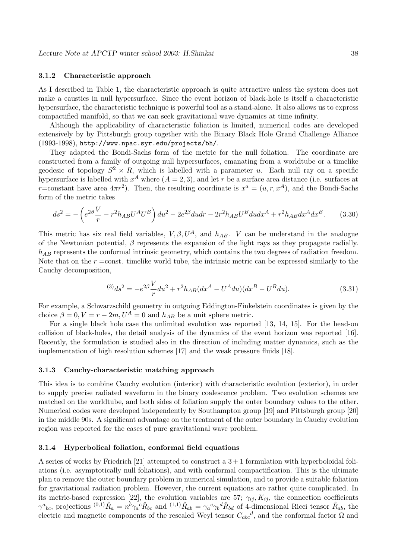#### **3.1.2 Characteristic approach**

As I described in Table 1, the characteristic approach is quite attractive unless the system does not make a caustics in null hypersurface. Since the event horizon of black-hole is itself a characteristic hypersurface, the characteristic technique is powerful tool as a stand-alone. It also allows us to express compactified manifold, so that we can seek gravitational wave dynamics at time infinity.

Although the applicability of characteristic foliation is limited, numerical codes are developed extensively by by Pittsburgh group together with the Binary Black Hole Grand Challenge Alliance (1993-1998), http://www.npac.syr.edu/projects/bh/.

They adapted the Bondi-Sachs form of the metric for the null foliation. The coordinate are constructed from a family of outgoing null hypersurfaces, emanating from a worldtube or a timelike geodesic of topology  $S^2 \times R$ , which is labelled with a parameter u. Each null ray on a specific hypersurface is labelled with  $x^A$  where  $(A = 2, 3)$ , and let r be a surface area distance (i.e. surfaces at r=constant have area  $4\pi r^2$ ). Then, the resulting coordinate is  $x^a = (u, r, x^A)$ , and the Bondi-Sachs form of the metric takes

$$
ds^{2} = -\left(e^{2\beta}\frac{V}{r} - r^{2}h_{AB}U^{A}U^{B}\right)du^{2} - 2e^{2\beta}du dr - 2r^{2}h_{AB}U^{B}dudx^{A} + r^{2}h_{AB}dx^{A}dx^{B}.
$$
 (3.30)

This metric has six real field variables,  $V, \beta, U^A$ , and  $h_{AB}$ . V can be understand in the analogue of the Newtonian potential,  $\beta$  represents the expansion of the light rays as they propagate radially.  $h_{AB}$  represents the conformal intrinsic geometry, which contains the two degrees of radiation freedom. Note that on the  $r =$ const. timelike world tube, the intrinsic metric can be expressed similarly to the Cauchy decomposition,

$$
^{(3)}ds^2 = -e^{2\beta} \frac{V}{r} du^2 + r^2 h_{AB} (dx^A - U^A du)(dx^B - U^B du). \tag{3.31}
$$

For example, a Schwarzschild geometry in outgoing Eddington-Finkelstein coordinates is given by the choice  $\beta = 0, V = r - 2m, U^A = 0$  and  $h_{AB}$  be a unit sphere metric.

For a single black hole case the unlimited evolution was reported [13, 14, 15]. For the head-on collision of black-holes, the detail analysis of the dynamics of the event horizon was reported [16]. Recently, the formulation is studied also in the direction of including matter dynamics, such as the implementation of high resolution schemes [17] and the weak pressure fluids [18].

#### **3.1.3 Cauchy-characteristic matching approach**

This idea is to combine Cauchy evolution (interior) with characteristic evolution (exterior), in order to supply precise radiated waveform in the binary coalescence problem. Two evolution schemes are matched on the worldtube, and both sides of foliation supply the outer boundary values to the other. Numerical codes were developed independently by Southampton group [19] and Pittsburgh group [20] in the middle 90s. A significant advantage on the treatment of the outer boundary in Cauchy evolution region was reported for the cases of pure gravitational wave problem.

#### **3.1.4 Hyperbolical foliation, conformal field equations**

A series of works by Friedrich [21] attempted to construct a  $3+1$  formulation with hyperboloidal foliations (i.e. asymptotically null foliations), and with conformal compactification. This is the ultimate plan to remove the outer boundary problem in numerical simulation, and to provide a suitable foliation for gravitational radiation problem. However, the current equations are rather quite complicated. In its metric-based expression [22], the evolution variables are 57;  $\gamma_{ij}$ ,  $K_{ij}$ , the connection coefficients  $\gamma^{a}{}_{bc}$ , projections  ${}^{(0,1)}\hat{R}_{a} = n^{b}\gamma_{a}{}^{c}\hat{R}_{bc}$  and  ${}^{(1,1)}\hat{R}_{ab} = \gamma_{a}{}^{c}\gamma_{b}{}^{d}\hat{R}_{bd}$  of 4-dimensional Ricci tensor  $\hat{R}_{ab}$ , the electric and magnetic components of the rescaled Weyl tensor  $C_{abc}^d$ , and the conformal factor  $\Omega$  and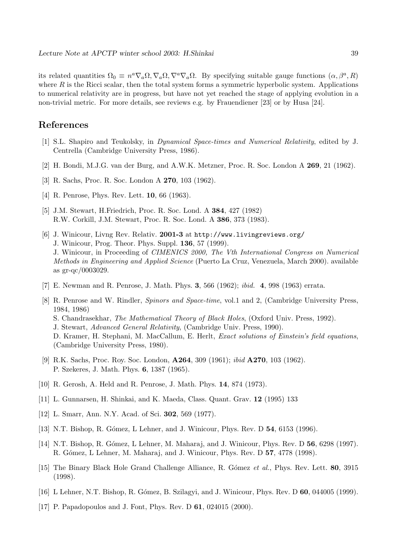its related quantities  $\Omega_0 \equiv n^a \nabla_a \Omega, \nabla_a \Omega, \nabla^a \nabla_a \Omega$ . By specifying suitable gauge functions  $(\alpha, \beta^a, R)$ where  $R$  is the Ricci scalar, then the total system forms a symmetric hyperbolic system. Applications to numerical relativity are in progress, but have not yet reached the stage of applying evolution in a non-trivial metric. For more details, see reviews e.g. by Frauendiener [23] or by Husa [24].

## **References**

- [1] S.L. Shapiro and Teukolsky, in Dynamical Space-times and Numerical Relativity, edited by J. Centrella (Cambridge University Press, 1986).
- [2] H. Bondi, M.J.G. van der Burg, and A.W.K. Metzner, Proc. R. Soc. London A **269**, 21 (1962).
- [3] R. Sachs, Proc. R. Soc. London A **270**, 103 (1962).
- [4] R. Penrose, Phys. Rev. Lett. **10**, 66 (1963).
- [5] J.M. Stewart, H.Friedrich, Proc. R. Soc. Lond. A **384**, 427 (1982) R.W. Corkill, J.M. Stewart, Proc. R. Soc. Lond. A **386**, 373 (1983).
- [6] J. Winicour, Livng Rev. Relativ. **2001-3** at http://www.livingreviews.org/ J. Winicour, Prog. Theor. Phys. Suppl. **136**, 57 (1999). J. Winicour, in Proceeding of CIMENICS 2000, The Vth International Congress on Numerical Methods in Engineering and Applied Science (Puerto La Cruz, Venezuela, March 2000). available as gr-qc/0003029.
- [7] E. Newman and R. Penrose, J. Math. Phys. **3**, 566 (1962); ibid. **4**, 998 (1963) errata.
- [8] R. Penrose and W. Rindler, Spinors and Space-time, vol.1 and 2, (Cambridge University Press, 1984, 1986) S. Chandrasekhar, The Mathematical Theory of Black Holes, (Oxford Univ. Press, 1992). J. Stewart, Advanced General Relativity, (Cambridge Univ. Press, 1990). D. Kramer, H. Stephani, M. MacCallum, E. Herlt, Exact solutions of Einstein's field equations, (Cambridge University Press, 1980).
- [9] R.K. Sachs, Proc. Roy. Soc. London, **A264**, 309 (1961); ibid **A270**, 103 (1962). P. Szekeres, J. Math. Phys. **6**, 1387 (1965).
- [10] R. Gerosh, A. Held and R. Penrose, J. Math. Phys. **14**, 874 (1973).
- [11] L. Gunnarsen, H. Shinkai, and K. Maeda, Class. Quant. Grav. **12** (1995) 133
- [12] L. Smarr, Ann. N.Y. Acad. of Sci. **302**, 569 (1977).
- [13] N.T. Bishop, R. G´omez, L Lehner, and J. Winicour, Phys. Rev. D **54**, 6153 (1996).
- [14] N.T. Bishop, R. G´omez, L Lehner, M. Maharaj, and J. Winicour, Phys. Rev. D **56**, 6298 (1997). R. G´omez, L Lehner, M. Maharaj, and J. Winicour, Phys. Rev. D **57**, 4778 (1998).
- [15] The Binary Black Hole Grand Challenge Alliance, R. Gómez et al., Phys. Rev. Lett. **80**, 3915 (1998).
- [16] L Lehner, N.T. Bishop, R. G´omez, B. Szilagyi, and J. Winicour, Phys. Rev. D **60**, 044005 (1999).
- [17] P. Papadopoulos and J. Font, Phys. Rev. D **61**, 024015 (2000).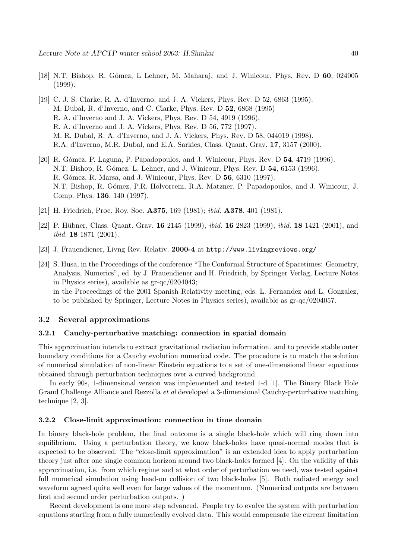- [18] N.T. Bishop, R. G´omez, L Lehner, M. Maharaj, and J. Winicour, Phys. Rev. D **60**, 024005 (1999).
- [19] C. J. S. Clarke, R. A. d'Inverno, and J. A. Vickers, Phys. Rev. D 52, 6863 (1995). M. Dubal, R. d'Inverno, and C. Clarke, Phys. Rev. D **52**, 6868 (1995) R. A. d'Inverno and J. A. Vickers, Phys. Rev. D 54, 4919 (1996). R. A. d'Inverno and J. A. Vickers, Phys. Rev. D 56, 772 (1997). M. R. Dubal, R. A. d'Inverno, and J. A. Vickers, Phys. Rev. D 58, 044019 (1998). R.A. d'Inverno, M.R. Dubal, and E.A. Sarkies, Class. Quant. Grav. **17**, 3157 (2000).
- [20] R. G´omez, P. Laguna, P. Papadopoulos, and J. Winicour, Phys. Rev. D **54**, 4719 (1996). N.T. Bishop, R. G´omez, L. Lehner, and J. Winicour, Phys. Rev. D **54**, 6153 (1996). R. G´omez, R. Marsa, and J. Winicour, Phys. Rev. D **56**, 6310 (1997). N.T. Bishop, R. Gómez, P.R. Holvorcem, R.A. Matzner, P. Papadopoulos, and J. Winicour, J. Comp. Phys. **136**, 140 (1997).
- [21] H. Friedrich, Proc. Roy. Soc. **A375**, 169 (1981); ibid. **A378**, 401 (1981).
- [22] P. H¨ubner, Class. Quant. Grav. **16** 2145 (1999), ibid. **16** 2823 (1999), ibid. **18** 1421 (2001), and ibid. **18** 1871 (2001).
- [23] J. Frauendiener, Livng Rev. Relativ. **2000-4** at http://www.livingreviews.org/
- [24] S. Husa, in the Proceedings of the conference "The Conformal Structure of Spacetimes: Geometry, Analysis, Numerics", ed. by J. Frauendiener and H. Friedrich, by Springer Verlag, Lecture Notes in Physics series), available as gr-qc/0204043;

in the Proceedings of the 2001 Spanish Relativity meeting, eds. L. Fernandez and L. Gonzalez, to be published by Springer, Lecture Notes in Physics series), available as gr-qc/0204057.

#### **3.2 Several approximations**

#### **3.2.1 Cauchy-perturbative matching: connection in spatial domain**

This approximation intends to extract gravitational radiation information. and to provide stable outer boundary conditions for a Cauchy evolution numerical code. The procedure is to match the solution of numerical simulation of non-linear Einstein equations to a set of one-dimensional linear equations obtained through perturbation techniques over a curved background.

In early 90s, 1-dimensional version was implemented and tested 1-d [1]. The Binary Black Hole Grand Challenge Alliance and Rezzolla et al developed a 3-dimensional Cauchy-perturbative matching technique [2, 3].

#### **3.2.2 Close-limit approximation: connection in time domain**

In binary black-hole problem, the final outcome is a single black-hole which will ring down into equilibrium. Using a perturbation theory, we know black-holes have quasi-normal modes that is expected to be observed. The "close-limit approximation" is an extended idea to apply perturbation theory just after one single common horizon around two black-holes formed [4]. On the validity of this approximation, i.e. from which regime and at what order of perturbation we need, was tested against full numerical simulation using head-on collision of two black-holes [5]. Both radiated energy and waveform agreed quite well even for large values of the momentum. (Numerical outputs are between first and second order perturbation outputs. )

Recent development is one more step advanced. People try to evolve the system with perturbation equations starting from a fully numerically evolved data. This would compensate the current limitation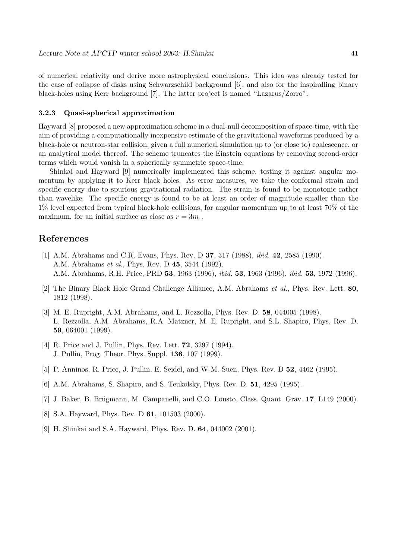of numerical relativity and derive more astrophysical conclusions. This idea was already tested for the case of collapse of disks using Schwarzschild background [6], and also for the inspiralling binary black-holes using Kerr background [7]. The latter project is named "Lazarus/Zorro".

#### **3.2.3 Quasi-spherical approximation**

Hayward [8] proposed a new approximation scheme in a dual-null decomposition of space-time, with the aim of providing a computationally inexpensive estimate of the gravitational waveforms produced by a black-hole or neutron-star collision, given a full numerical simulation up to (or close to) coalescence, or an analytical model thereof. The scheme truncates the Einstein equations by removing second-order terms which would vanish in a spherically symmetric space-time.

Shinkai and Hayward [9] numerically implemented this scheme, testing it against angular momentum by applying it to Kerr black holes. As error measures, we take the conformal strain and specific energy due to spurious gravitational radiation. The strain is found to be monotonic rather than wavelike. The specific energy is found to be at least an order of magnitude smaller than the 1% level expected from typical black-hole collisions, for angular momentum up to at least 70% of the maximum, for an initial surface as close as  $r = 3m$ .

## **References**

- [1] A.M. Abrahams and C.R. Evans, Phys. Rev. D **37**, 317 (1988), ibid. **42**, 2585 (1990). A.M. Abrahams et al., Phys. Rev. D **45**, 3544 (1992). A.M. Abrahams, R.H. Price, PRD **53**, 1963 (1996), ibid. **53**, 1963 (1996), ibid. **53**, 1972 (1996).
- [2] The Binary Black Hole Grand Challenge Alliance, A.M. Abrahams et al., Phys. Rev. Lett. **80**, 1812 (1998).
- [3] M. E. Rupright, A.M. Abrahams, and L. Rezzolla, Phys. Rev. D. **58**, 044005 (1998). L. Rezzolla, A.M. Abrahams, R.A. Matzner, M. E. Rupright, and S.L. Shapiro, Phys. Rev. D. **59**, 064001 (1999).
- [4] R. Price and J. Pullin, Phys. Rev. Lett. **72**, 3297 (1994). J. Pullin, Prog. Theor. Phys. Suppl. **136**, 107 (1999).
- [5] P. Anninos, R. Price, J. Pullin, E. Seidel, and W-M. Suen, Phys. Rev. D **52**, 4462 (1995).
- [6] A.M. Abrahams, S. Shapiro, and S. Teukolsky, Phys. Rev. D. **51**, 4295 (1995).
- [7] J. Baker, B. Brügmann, M. Campanelli, and C.O. Lousto, Class. Quant. Grav. 17, L149 (2000).
- [8] S.A. Hayward, Phys. Rev. D **61**, 101503 (2000).
- [9] H. Shinkai and S.A. Hayward, Phys. Rev. D. **64**, 044002 (2001).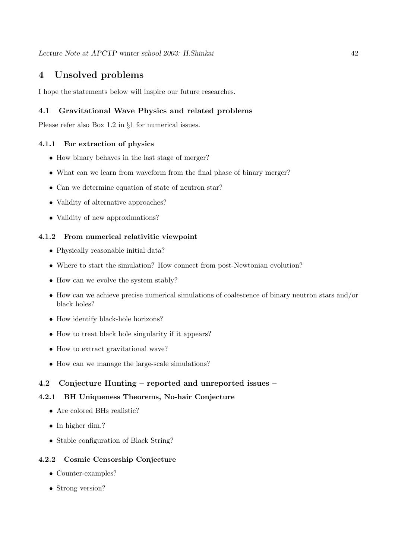# **4 Unsolved problems**

I hope the statements below will inspire our future researches.

## **4.1 Gravitational Wave Physics and related problems**

Please refer also Box 1.2 in §1 for numerical issues.

## **4.1.1 For extraction of physics**

- How binary behaves in the last stage of merger?
- What can we learn from waveform from the final phase of binary merger?
- Can we determine equation of state of neutron star?
- Validity of alternative approaches?
- Validity of new approximations?

### **4.1.2 From numerical relativitic viewpoint**

- Physically reasonable initial data?
- Where to start the simulation? How connect from post-Newtonian evolution?
- How can we evolve the system stably?
- How can we achieve precise numerical simulations of coalescence of binary neutron stars and/or black holes?
- How identify black-hole horizons?
- How to treat black hole singularity if it appears?
- How to extract gravitational wave?
- How can we manage the large-scale simulations?

## **4.2 Conjecture Hunting – reported and unreported issues –**

## **4.2.1 BH Uniqueness Theorems, No-hair Conjecture**

- Are colored BHs realistic?
- In higher dim.?
- Stable configuration of Black String?

#### **4.2.2 Cosmic Censorship Conjecture**

- Counter-examples?
- Strong version?